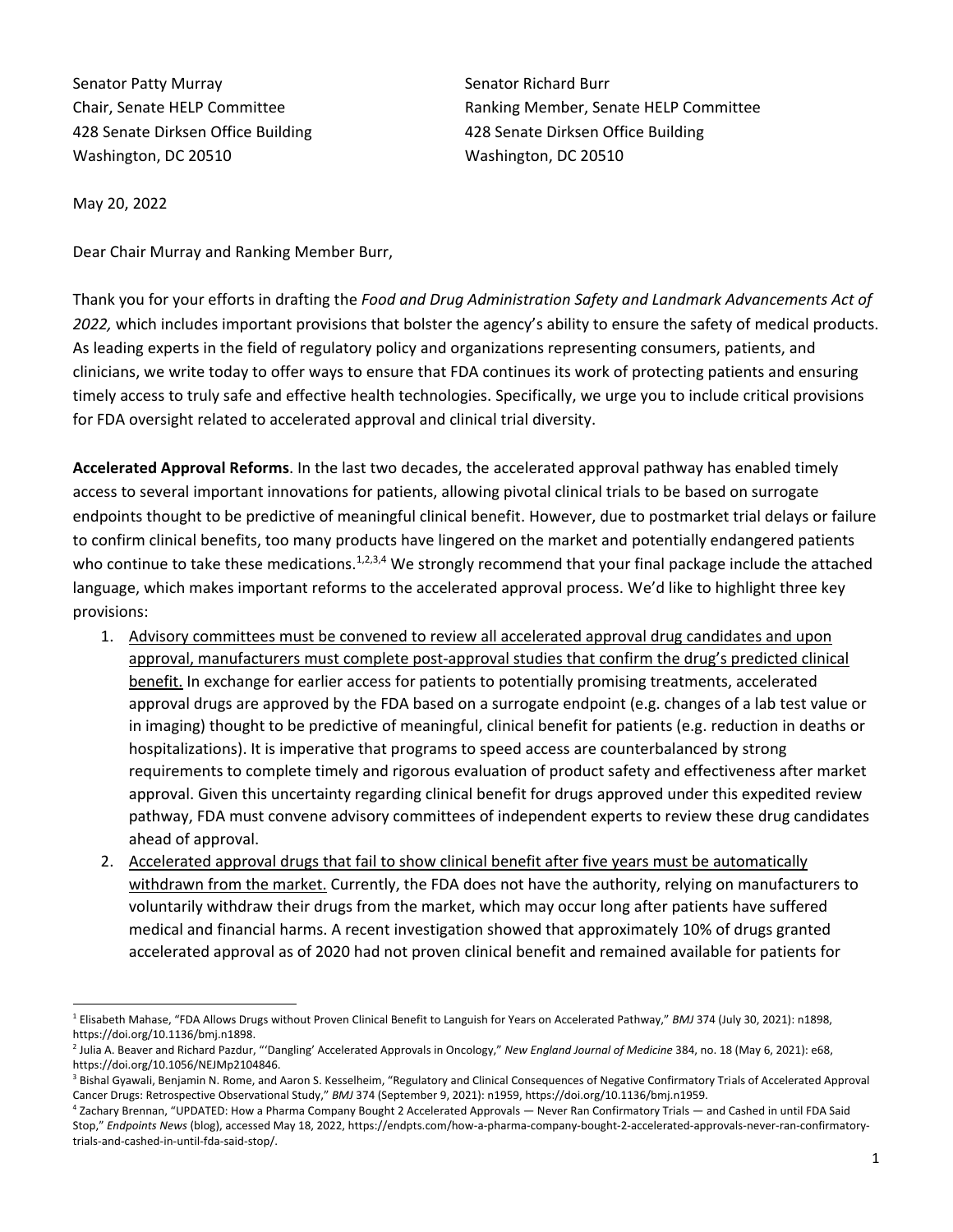Senator Patty Murray **Senator Richard Burr** Senator Richard Burr 428 Senate Dirksen Office Building 428 Senate Dirksen Office Building Washington, DC 20510 Washington, DC 20510

Chair, Senate HELP Committee Ranking Member, Senate HELP Committee

May 20, 2022

Dear Chair Murray and Ranking Member Burr,

Thank you for your efforts in drafting the *Food and Drug Administration Safety and Landmark Advancements Act of 2022,* which includes important provisions that bolster the agency's ability to ensure the safety of medical products. As leading experts in the field of regulatory policy and organizations representing consumers, patients, and clinicians, we write today to offer ways to ensure that FDA continues its work of protecting patients and ensuring timely access to truly safe and effective health technologies. Specifically, we urge you to include critical provisions for FDA oversight related to accelerated approval and clinical trial diversity.

**Accelerated Approval Reforms**. In the last two decades, the accelerated approval pathway has enabled timely access to several important innovations for patients, allowing pivotal clinical trials to be based on surrogate endpoints thought to be predictive of meaningful clinical benefit. However, due to postmarket trial delays or failure to confirm clinical benefits, too many products have lingered on the market and potentially endangered patients who continue to take these medications.<sup>1,2,3,4</sup> We strongly recommend that your final package include the attached language, which makes important reforms to the accelerated approval process. We'd like to highlight three key provisions:

- 1. Advisory committees must be convened to review all accelerated approval drug candidates and upon approval, manufacturers must complete post-approval studies that confirm the drug's predicted clinical benefit. In exchange for earlier access for patients to potentially promising treatments, accelerated approval drugs are approved by the FDA based on a surrogate endpoint (e.g. changes of a lab test value or in imaging) thought to be predictive of meaningful, clinical benefit for patients (e.g. reduction in deaths or hospitalizations). It is imperative that programs to speed access are counterbalanced by strong requirements to complete timely and rigorous evaluation of product safety and effectiveness after market approval. Given this uncertainty regarding clinical benefit for drugs approved under this expedited review pathway, FDA must convene advisory committees of independent experts to review these drug candidates ahead of approval.
- 2. Accelerated approval drugs that fail to show clinical benefit after five years must be automatically withdrawn from the market. Currently, the FDA does not have the authority, relying on manufacturers to voluntarily withdraw their drugs from the market, which may occur long after patients have suffered medical and financial harms. A recent investigation showed that approximately 10% of drugs granted accelerated approval as of 2020 had not proven clinical benefit and remained available for patients for

<sup>1</sup> Elisabeth Mahase, "FDA Allows Drugs without Proven Clinical Benefit to Languish for Years on Accelerated Pathway," *BMJ* 374 (July 30, 2021): n1898, https://doi.org/10.1136/bmj.n1898.

<sup>&</sup>lt;sup>2</sup> Julia A. Beaver and Richard Pazdur, "'Dangling' Accelerated Approvals in Oncology," *New England Journal of Medicine* 384, no. 18 (May 6, 2021): e68, https://doi.org/10.1056/NEJMp2104846.

<sup>&</sup>lt;sup>3</sup> Bishal Gyawali, Benjamin N. Rome, and Aaron S. Kesselheim, "Regulatory and Clinical Consequences of Negative Confirmatory Trials of Accelerated Approval Cancer Drugs: Retrospective Observational Study," *BMJ* 374 (September 9, 2021): n1959, https://doi.org/10.1136/bmj.n1959.

<sup>4</sup> Zachary Brennan, "UPDATED: How a Pharma Company Bought 2 Accelerated Approvals — Never Ran Confirmatory Trials — and Cashed in until FDA Said Stop," *Endpoints News* (blog), accessed May 18, 2022, https://endpts.com/how-a-pharma-company-bought-2-accelerated-approvals-never-ran-confirmatorytrials-and-cashed-in-until-fda-said-stop/.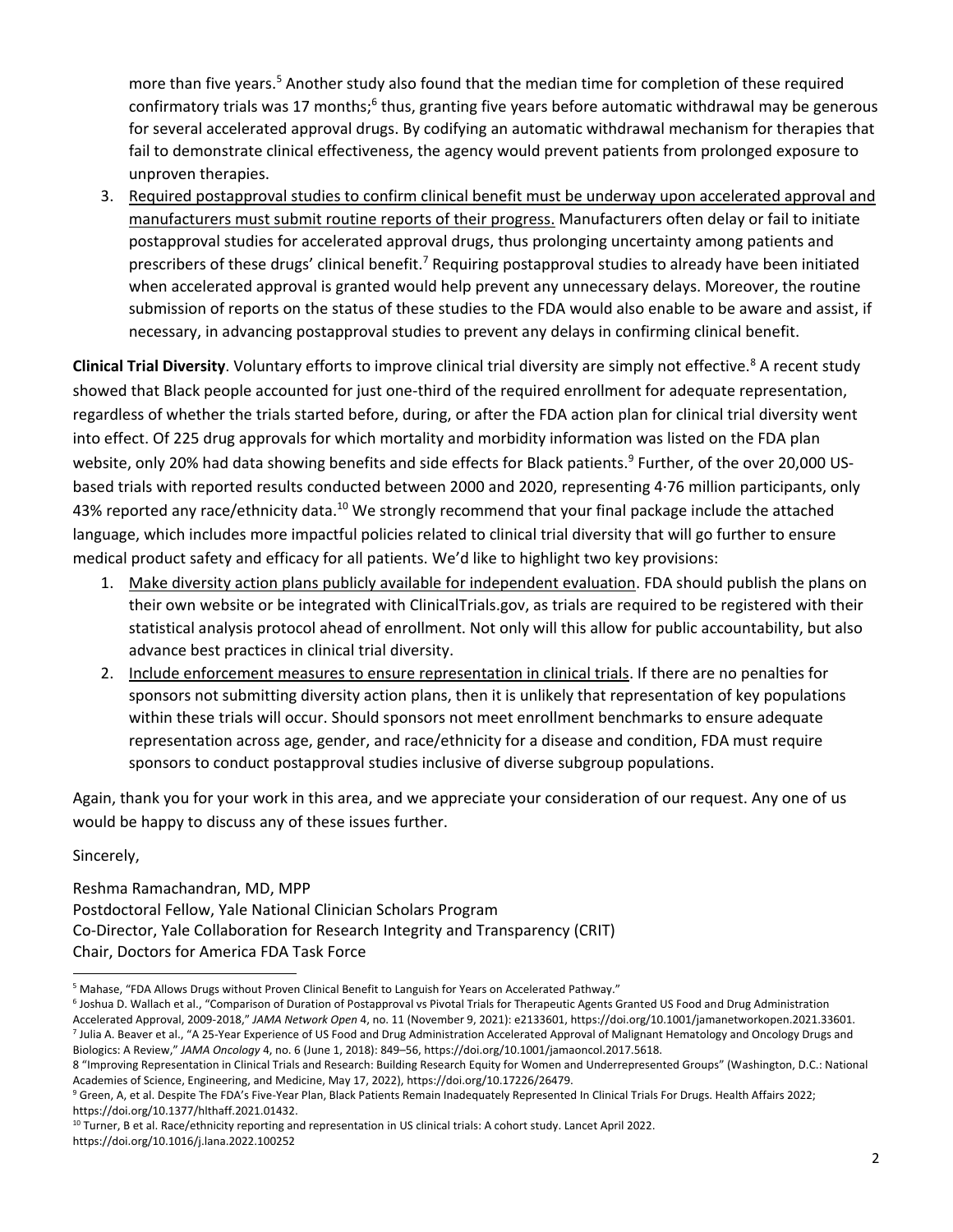more than five years.<sup>5</sup> Another study also found that the median time for completion of these required confirmatory trials was 17 months;<sup>6</sup> thus, granting five years before automatic withdrawal may be generous for several accelerated approval drugs. By codifying an automatic withdrawal mechanism for therapies that fail to demonstrate clinical effectiveness, the agency would prevent patients from prolonged exposure to unproven therapies.

3. Required postapproval studies to confirm clinical benefit must be underway upon accelerated approval and manufacturers must submit routine reports of their progress. Manufacturers often delay or fail to initiate postapproval studies for accelerated approval drugs, thus prolonging uncertainty among patients and prescribers of these drugs' clinical benefit.<sup>7</sup> Requiring postapproval studies to already have been initiated when accelerated approval is granted would help prevent any unnecessary delays. Moreover, the routine submission of reports on the status of these studies to the FDA would also enable to be aware and assist, if necessary, in advancing postapproval studies to prevent any delays in confirming clinical benefit.

**Clinical Trial Diversity**. Voluntary efforts to improve clinical trial diversity are simply not effective.<sup>8</sup> A recent study showed that Black people accounted for just one-third of the required enrollment for adequate representation, regardless of whether the trials started before, during, or after the FDA action plan for clinical trial diversity went into effect. Of 225 drug approvals for which mortality and morbidity information was listed on the FDA plan website, only 20% had data showing benefits and side effects for Black patients.<sup>9</sup> Further, of the over 20,000 USbased trials with reported results conducted between 2000 and 2020, representing 4·76 million participants, only 43% reported any race/ethnicity data.<sup>10</sup> We strongly recommend that your final package include the attached language, which includes more impactful policies related to clinical trial diversity that will go further to ensure medical product safety and efficacy for all patients. We'd like to highlight two key provisions:

- 1. Make diversity action plans publicly available for independent evaluation. FDA should publish the plans on their own website or be integrated with ClinicalTrials.gov, as trials are required to be registered with their statistical analysis protocol ahead of enrollment. Not only will this allow for public accountability, but also advance best practices in clinical trial diversity.
- 2. Include enforcement measures to ensure representation in clinical trials. If there are no penalties for sponsors not submitting diversity action plans, then it is unlikely that representation of key populations within these trials will occur. Should sponsors not meet enrollment benchmarks to ensure adequate representation across age, gender, and race/ethnicity for a disease and condition, FDA must require sponsors to conduct postapproval studies inclusive of diverse subgroup populations.

Again, thank you for your work in this area, and we appreciate your consideration of our request. Any one of us would be happy to discuss any of these issues further.

# Sincerely,

Reshma Ramachandran, MD, MPP Postdoctoral Fellow, Yale National Clinician Scholars Program Co-Director, Yale Collaboration for Research Integrity and Transparency (CRIT) Chair, Doctors for America FDA Task Force

<sup>5</sup> Mahase, "FDA Allows Drugs without Proven Clinical Benefit to Languish for Years on Accelerated Pathway."

<sup>6</sup> Joshua D. Wallach et al., "Comparison of Duration of Postapproval vs Pivotal Trials for Therapeutic Agents Granted US Food and Drug Administration Accelerated Approval, 2009-2018," *JAMA Network Open* 4, no. 11 (November 9, 2021): e2133601, https://doi.org/10.1001/jamanetworkopen.2021.33601. <sup>7</sup> Julia A. Beaver et al., "A 25-Year Experience of US Food and Drug Administration Accelerated Approval of Malignant Hematology and Oncology Drugs and Biologics: A Review," *JAMA Oncology* 4, no. 6 (June 1, 2018): 849–56, https://doi.org/10.1001/jamaoncol.2017.5618.

<sup>8</sup> "Improving Representation in Clinical Trials and Research: Building Research Equity for Women and Underrepresented Groups" (Washington, D.C.: National Academies of Science, Engineering, and Medicine, May 17, 2022), https://doi.org/10.17226/26479.

<sup>&</sup>lt;sup>9</sup> Green, A, et al. Despite The FDA's Five-Year Plan, Black Patients Remain Inadequately Represented In Clinical Trials For Drugs. Health Affairs 2022; https://doi.org/10.1377/hlthaff.2021.01432.

 $10$  Turner, B et al. Race/ethnicity reporting and representation in US clinical trials: A cohort study. Lancet April 2022. https://doi.org/10.1016/j.lana.2022.100252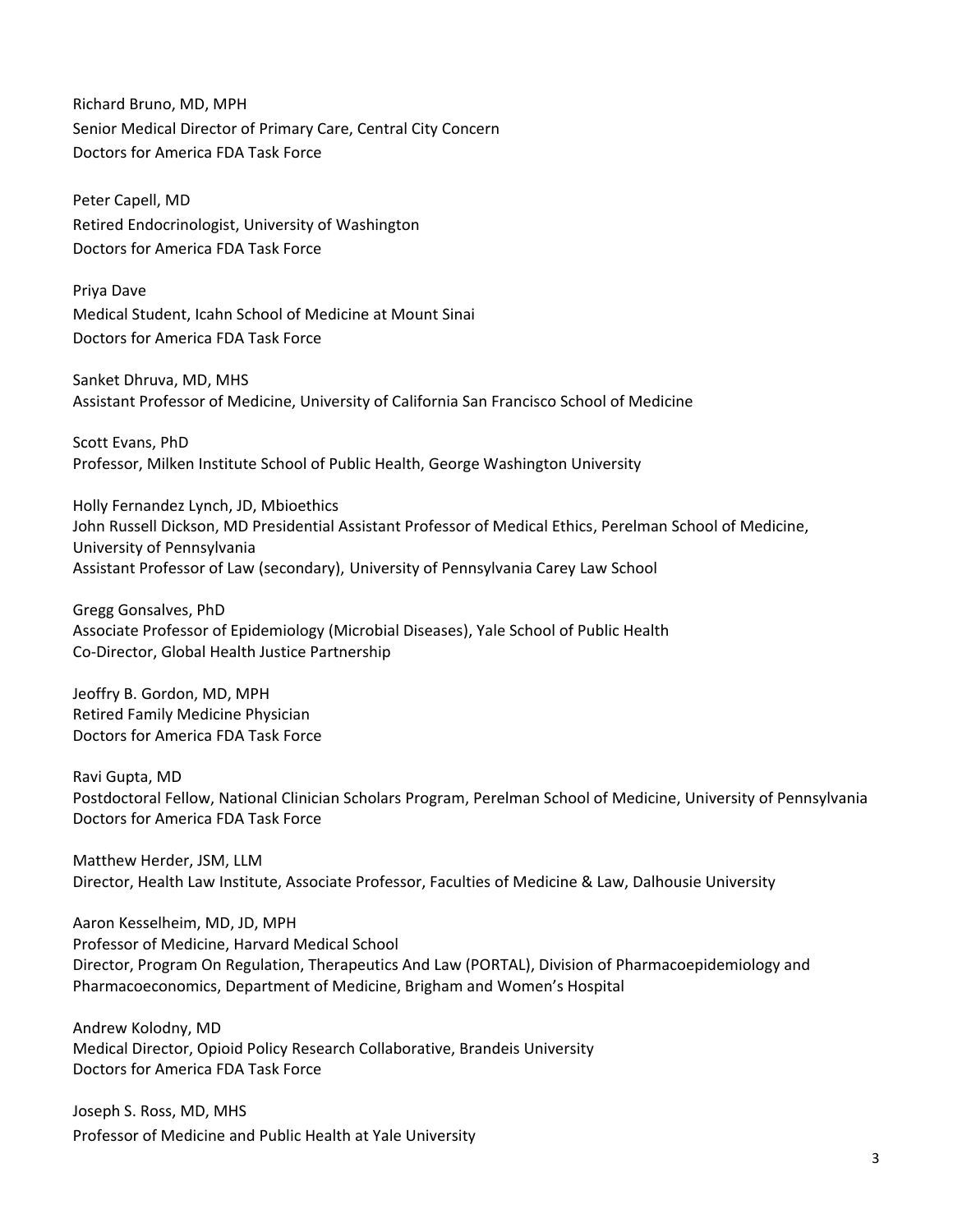Richard Bruno, MD, MPH Senior Medical Director of Primary Care, Central City Concern Doctors for America FDA Task Force

Peter Capell, MD Retired Endocrinologist, University of Washington Doctors for America FDA Task Force

Priya Dave Medical Student, Icahn School of Medicine at Mount Sinai Doctors for America FDA Task Force

Sanket Dhruva, MD, MHS Assistant Professor of Medicine, University of California San Francisco School of Medicine

Scott Evans, PhD Professor, Milken Institute School of Public Health, George Washington University

Holly Fernandez Lynch, JD, Mbioethics John Russell Dickson, MD Presidential Assistant Professor of Medical Ethics, Perelman School of Medicine, University of Pennsylvania Assistant Professor of Law (secondary), University of Pennsylvania Carey Law School

Gregg Gonsalves, PhD Associate Professor of Epidemiology (Microbial Diseases), Yale School of Public Health Co-Director, Global Health Justice Partnership

Jeoffry B. Gordon, MD, MPH Retired Family Medicine Physician Doctors for America FDA Task Force

Ravi Gupta, MD Postdoctoral Fellow, National Clinician Scholars Program, Perelman School of Medicine, University of Pennsylvania Doctors for America FDA Task Force

Matthew Herder, JSM, LLM Director, Health Law Institute, Associate Professor, Faculties of Medicine & Law, Dalhousie University

Aaron Kesselheim, MD, JD, MPH Professor of Medicine, Harvard Medical School Director, Program On Regulation, Therapeutics And Law (PORTAL), Division of Pharmacoepidemiology and Pharmacoeconomics, Department of Medicine, Brigham and Women's Hospital

Andrew Kolodny, MD Medical Director, Opioid Policy Research Collaborative, Brandeis University Doctors for America FDA Task Force

Joseph S. Ross, MD, MHS Professor of Medicine and Public Health at Yale University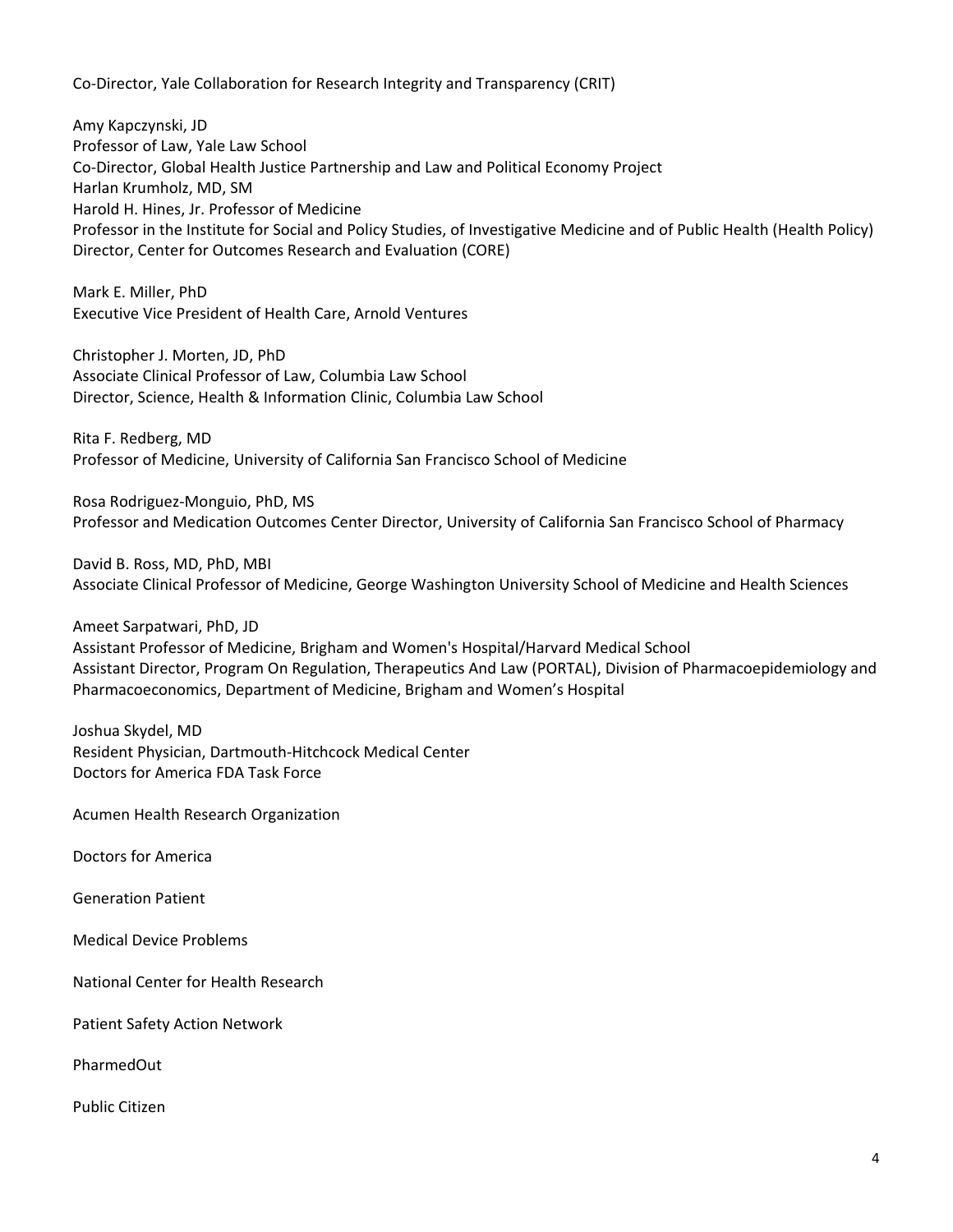Co-Director, Yale Collaboration for Research Integrity and Transparency (CRIT)

Amy Kapczynski, JD Professor of Law, Yale Law School Co-Director, Global Health Justice Partnership and Law and Political Economy Project Harlan Krumholz, MD, SM Harold H. Hines, Jr. Professor of Medicine Professor in the Institute for Social and Policy Studies, of Investigative Medicine and of Public Health (Health Policy) Director, Center for Outcomes Research and Evaluation (CORE)

Mark E. Miller, PhD Executive Vice President of Health Care, Arnold Ventures

Christopher J. Morten, JD, PhD Associate Clinical Professor of Law, Columbia Law School Director, Science, Health & Information Clinic, Columbia Law School

Rita F. Redberg, MD Professor of Medicine, University of California San Francisco School of Medicine

Rosa Rodriguez-Monguio, PhD, MS Professor and Medication Outcomes Center Director, University of California San Francisco School of Pharmacy

David B. Ross, MD, PhD, MBI Associate Clinical Professor of Medicine, George Washington University School of Medicine and Health Sciences

Ameet Sarpatwari, PhD, JD Assistant Professor of Medicine, Brigham and Women's Hospital/Harvard Medical School Assistant Director, Program On Regulation, Therapeutics And Law (PORTAL), Division of Pharmacoepidemiology and Pharmacoeconomics, Department of Medicine, Brigham and Women's Hospital

Joshua Skydel, MD Resident Physician, Dartmouth-Hitchcock Medical Center Doctors for America FDA Task Force

Acumen Health Research Organization

Doctors for America

Generation Patient

Medical Device Problems

National Center for Health Research

Patient Safety Action Network

PharmedOut

Public Citizen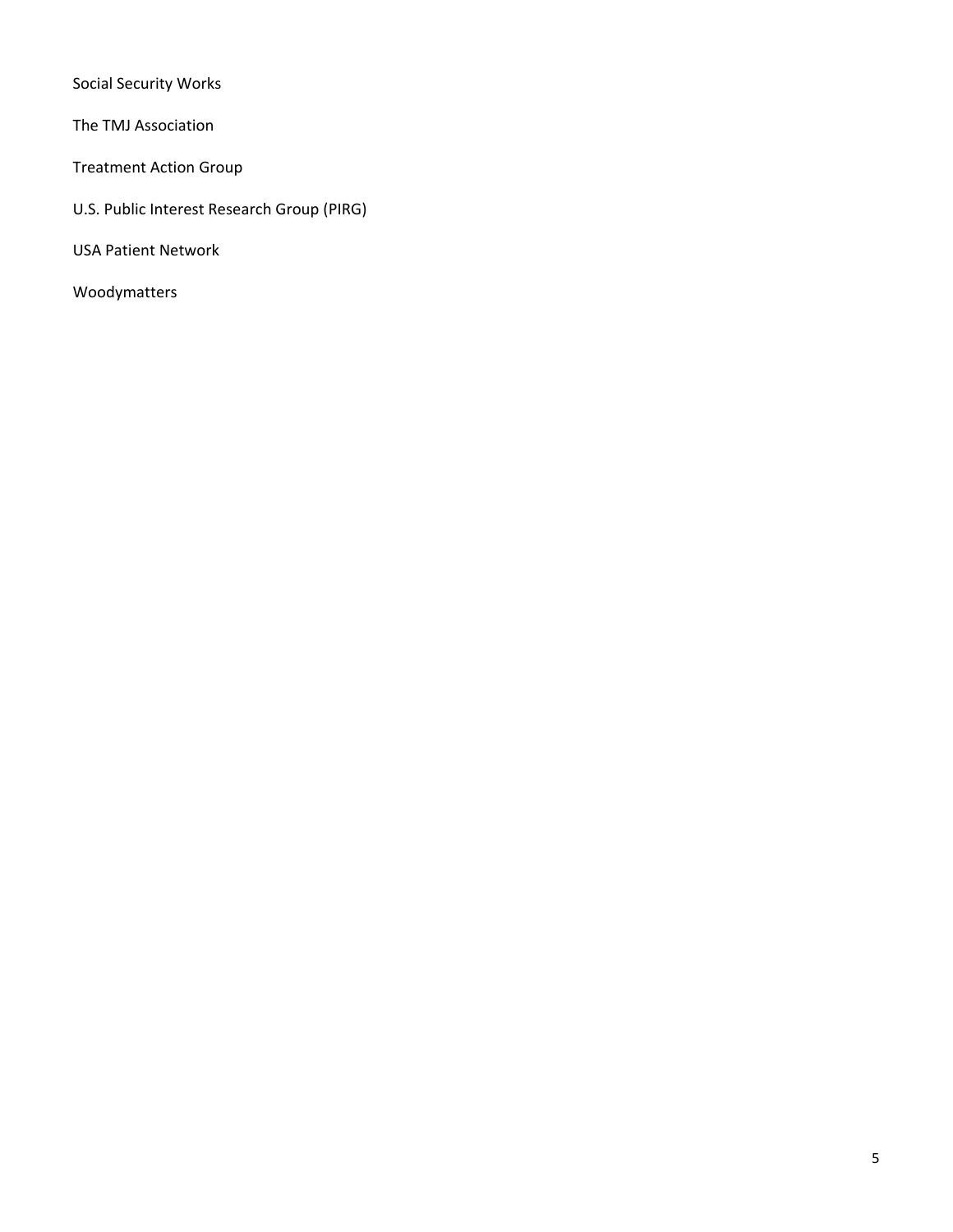Social Security Works

The TMJ Association

Treatment Action Group

- U.S. Public Interest Research Group (PIRG)
- USA Patient Network
- Woodymatters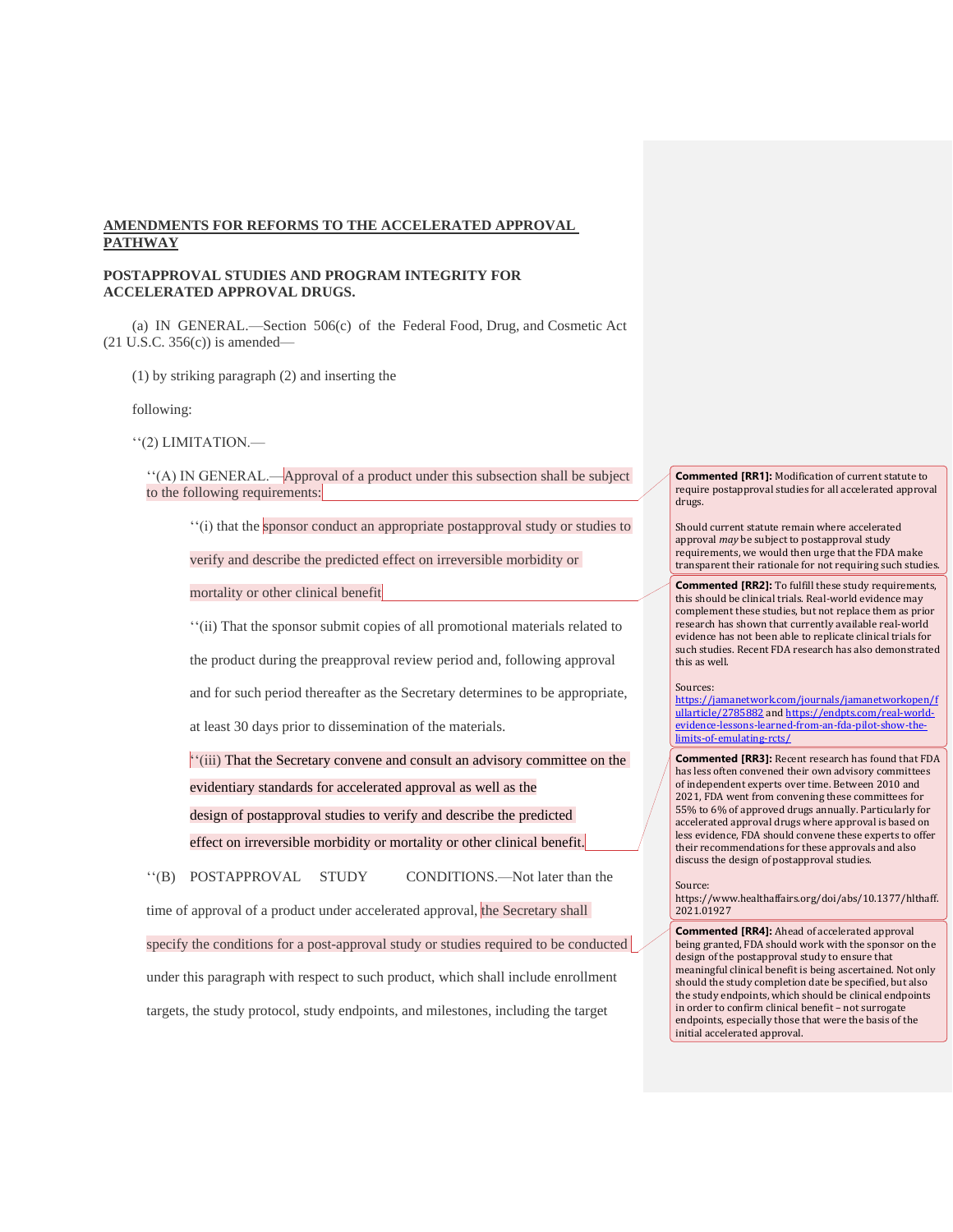#### **AMENDMENTS FOR REFORMS TO THE ACCELERATED APPROVAL PATHWAY**

#### **POSTAPPROVAL STUDIES AND PROGRAM INTEGRITY FOR ACCELERATED APPROVAL DRUGS.**

(a) IN GENERAL.—Section 506(c) of the Federal Food, Drug, and Cosmetic Act (21 U.S.C. 356(c)) is amended—

(1) by striking paragraph (2) and inserting the

following:

''(2) LIMITATION.—

''(A) IN GENERAL.—Approval of a product under this subsection shall be subject to the following requirements:

''(i) that the sponsor conduct an appropriate postapproval study or studies to

verify and describe the predicted effect on irreversible morbidity or

mortality or other clinical benefit

''(ii) That the sponsor submit copies of all promotional materials related to

the product during the preapproval review period and, following approval

and for such period thereafter as the Secretary determines to be appropriate,

at least 30 days prior to dissemination of the materials.

''(iii) That the Secretary convene and consult an advisory committee on the evidentiary standards for accelerated approval as well as the design of postapproval studies to verify and describe the predicted effect on irreversible morbidity or mortality or other clinical benefit.

''(B) POSTAPPROVAL STUDY CONDITIONS.—Not later than the

time of approval of a product under accelerated approval, the Secretary shall

specify the conditions for a post-approval study or studies required to be conducted

under this paragraph with respect to such product, which shall include enrollment

targets, the study protocol, study endpoints, and milestones, including the target

**Commented [RR1]:** Modification of current statute to require postapproval studies for all accelerated approval drugs.

Should current statute remain where accelerated approval *may* be subject to postapproval study requirements, we would then urge that the FDA make transparent their rationale for not requiring such studies.

**Commented [RR2]:** To fulfill these study requirements, this should be clinical trials. Real-world evidence may complement these studies, but not replace them as prior research has shown that currently available real-world evidence has not been able to replicate clinical trials for such studies. Recent FDA research has also demonstrated this as well.

#### Sources:

[https://jamanetwork.com/journals/jamanetworkopen/f](https://jamanetwork.com/journals/jamanetworkopen/fullarticle/2785882) [ullarticle/2785882](https://jamanetwork.com/journals/jamanetworkopen/fullarticle/2785882) an[d https://endpts.com/real-world](https://endpts.com/real-world-evidence-lessons-learned-from-an-fda-pilot-show-the-limits-of-emulating-rcts/)[evidence-lessons-learned-from-an-fda-pilot-show-the](https://endpts.com/real-world-evidence-lessons-learned-from-an-fda-pilot-show-the-limits-of-emulating-rcts/)[limits-of-emulating-rcts/](https://endpts.com/real-world-evidence-lessons-learned-from-an-fda-pilot-show-the-limits-of-emulating-rcts/)

**Commented [RR3]:** Recent research has found that FDA has less often convened their own advisory committees of independent experts over time. Between 2010 and 2021, FDA went from convening these committees for 55% to 6% of approved drugs annually. Particularly for accelerated approval drugs where approval is based on less evidence, FDA should convene these experts to offer their recommendations for these approvals and also discuss the design of postapproval studies.

Source:

https://www.healthaffairs.org/doi/abs/10.1377/hlthaff. 2021.01927

**Commented [RR4]:** Ahead of accelerated approval being granted, FDA should work with the sponsor on the design of the postapproval study to ensure that meaningful clinical benefit is being ascertained. Not only should the study completion date be specified, but also the study endpoints, which should be clinical endpoints in order to confirm clinical benefit – not surrogate endpoints, especially those that were the basis of the initial accelerated approval.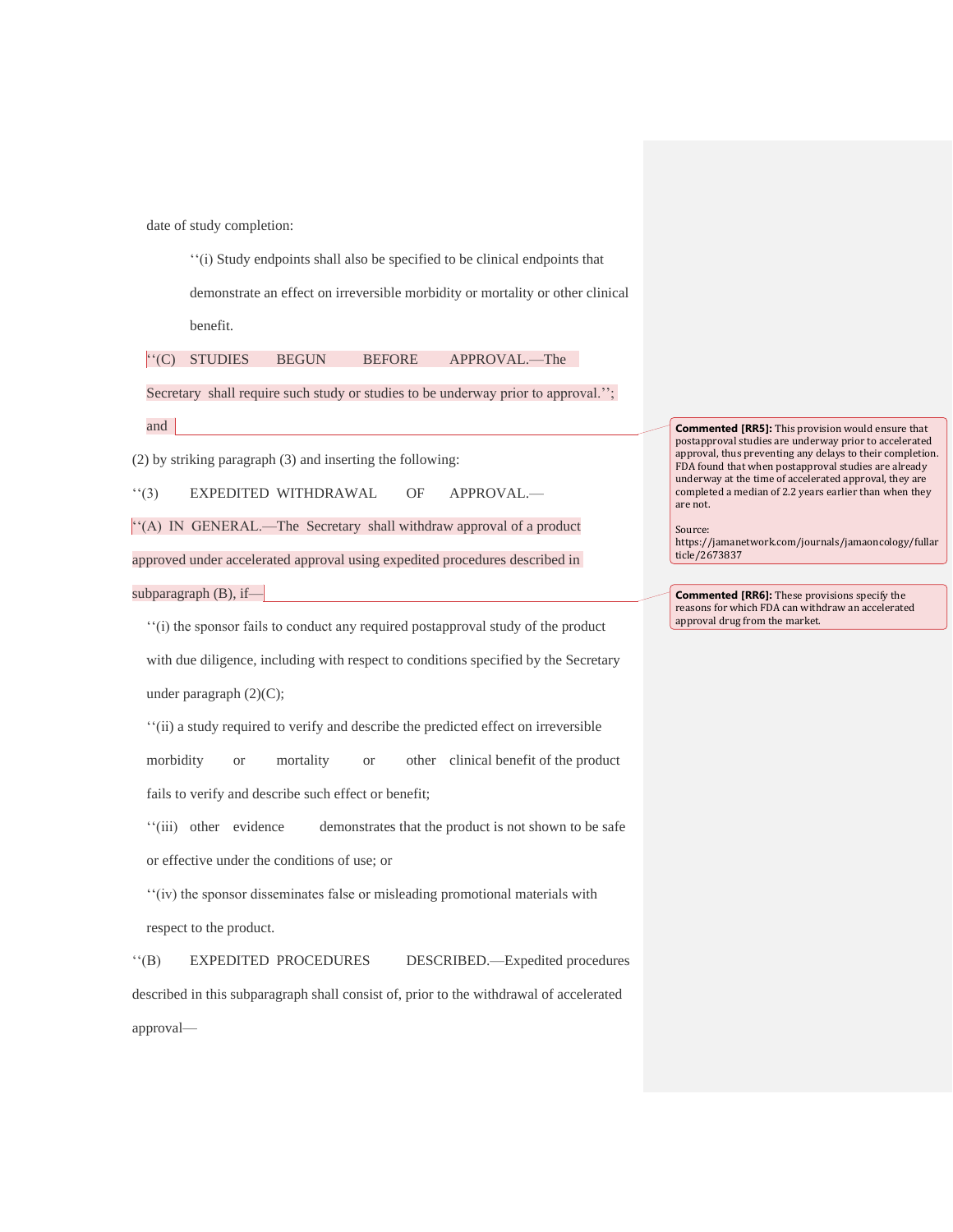date of study completion:

''(i) Study endpoints shall also be specified to be clinical endpoints that demonstrate an effect on irreversible morbidity or mortality or other clinical benefit.

''(C) STUDIES BEGUN BEFORE APPROVAL.—The

Secretary shall require such study or studies to be underway prior to approval.";

and

(2) by striking paragraph (3) and inserting the following:

''(3) EXPEDITED WITHDRAWAL OF APPROVAL.—

''(A) IN GENERAL.—The Secretary shall withdraw approval of a product

approved under accelerated approval using expedited procedures described in

subparagraph  $(B)$ , if-

''(i) the sponsor fails to conduct any required postapproval study of the product with due diligence, including with respect to conditions specified by the Secretary under paragraph (2)(C);

''(ii) a study required to verify and describe the predicted effect on irreversible morbidity or mortality or other clinical benefit of the product fails to verify and describe such effect or benefit;

''(iii) other evidence demonstrates that the product is not shown to be safe or effective under the conditions of use; or

''(iv) the sponsor disseminates false or misleading promotional materials with respect to the product.

''(B) EXPEDITED PROCEDURES DESCRIBED.—Expedited procedures described in this subparagraph shall consist of, prior to the withdrawal of accelerated approval—

**Commented [RR5]:** This provision would ensure that postapproval studies are underway prior to accelerated approval, thus preventing any delays to their completion. FDA found that when postapproval studies are already underway at the time of accelerated approval, they are completed a median of 2.2 years earlier than when they are not.

Source: https://jamanetwork.com/journals/jamaoncology/fullar ticle/2673837

**Commented [RR6]:** These provisions specify the reasons for which FDA can withdraw an accelerated approval drug from the market.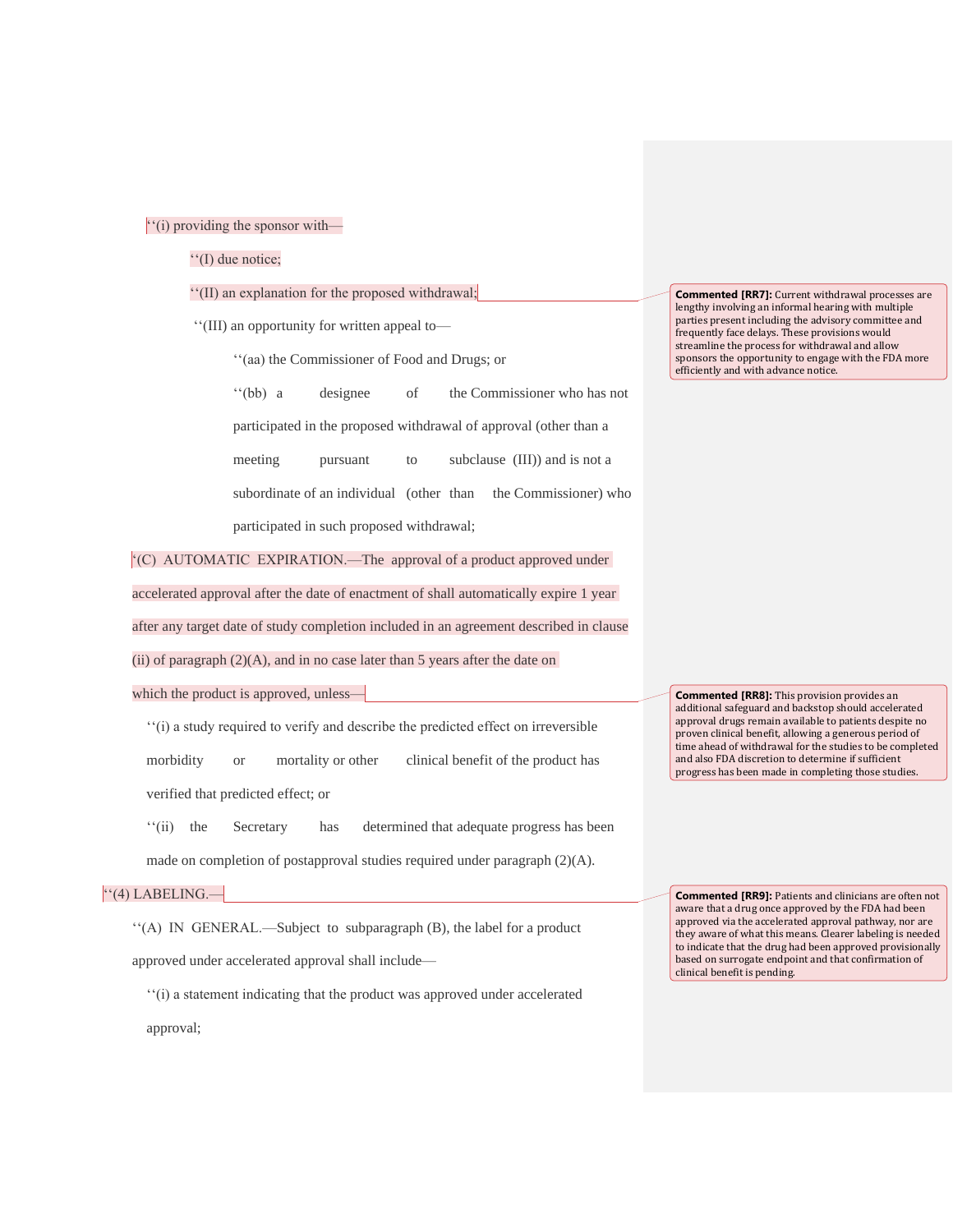#### ''(i) providing the sponsor with—

''(I) due notice;

#### ''(II) an explanation for the proposed withdrawal;

''(III) an opportunity for written appeal to—

''(aa) the Commissioner of Food and Drugs; or

''(bb) a designee of the Commissioner who has not participated in the proposed withdrawal of approval (other than a meeting pursuant to subclause (III)) and is not a subordinate of an individual (other than the Commissioner) who participated in such proposed withdrawal;

'(C) AUTOMATIC EXPIRATION.—The approval of a product approved under accelerated approval after the date of enactment of shall automatically expire 1 year after any target date of study completion included in an agreement described in clause

(ii) of paragraph  $(2)(A)$ , and in no case later than 5 years after the date on

which the product is approved, unless—

''(i) a study required to verify and describe the predicted effect on irreversible morbidity or mortality or other clinical benefit of the product has

verified that predicted effect; or

''(ii) the Secretary has determined that adequate progress has been made on completion of postapproval studies required under paragraph (2)(A).

# ''(4) LABELING.—

''(A) IN GENERAL.—Subject to subparagraph (B), the label for a product approved under accelerated approval shall include—

''(i) a statement indicating that the product was approved under accelerated approval;

**Commented [RR7]:** Current withdrawal processes are lengthy involving an informal hearing with multiple parties present including the advisory committee and frequently face delays. These provisions would streamline the process for withdrawal and allow sponsors the opportunity to engage with the FDA more efficiently and with advance notice.

**Commented [RR8]:** This provision provides an additional safeguard and backstop should accelerated approval drugs remain available to patients despite no proven clinical benefit, allowing a generous period of time ahead of withdrawal for the studies to be completed and also FDA discretion to determine if sufficient progress has been made in completing those studies.

**Commented [RR9]:** Patients and clinicians are often not aware that a drug once approved by the FDA had been approved via the accelerated approval pathway, nor are they aware of what this means. Clearer labeling is needed to indicate that the drug had been approved provisionally based on surrogate endpoint and that confirmation of clinical benefit is pending.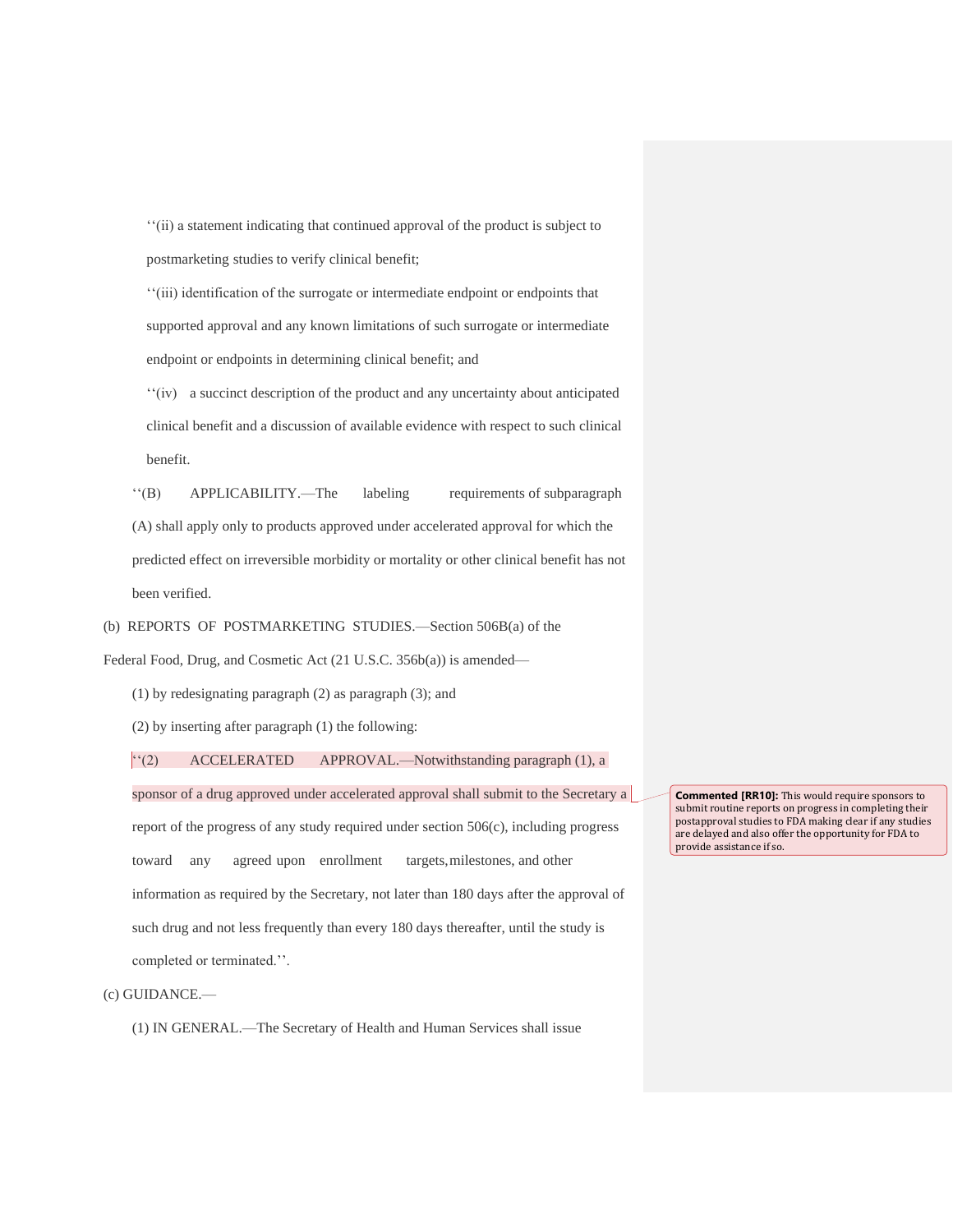''(ii) a statement indicating that continued approval of the product is subject to postmarketing studies to verify clinical benefit;

''(iii) identification of the surrogate or intermediate endpoint or endpoints that supported approval and any known limitations of such surrogate or intermediate endpoint or endpoints in determining clinical benefit; and

''(iv) a succinct description of the product and any uncertainty about anticipated clinical benefit and a discussion of available evidence with respect to such clinical benefit.

''(B) APPLICABILITY.—The labeling requirements of subparagraph (A) shall apply only to products approved under accelerated approval for which the predicted effect on irreversible morbidity or mortality or other clinical benefit has not been verified.

(b) REPORTS OF POSTMARKETING STUDIES.—Section 506B(a) of the

Federal Food, Drug, and Cosmetic Act (21 U.S.C. 356b(a)) is amended—

(1) by redesignating paragraph (2) as paragraph (3); and

(2) by inserting after paragraph (1) the following:

''(2) ACCELERATED APPROVAL.—Notwithstanding paragraph (1), a

sponsor of a drug approved under accelerated approval shall submit to the Secretary a report of the progress of any study required under section 506(c), including progress toward any agreed upon enrollment targets,milestones, and other information as required by the Secretary, not later than 180 days after the approval of such drug and not less frequently than every 180 days thereafter, until the study is completed or terminated.''.

(c) GUIDANCE.—

(1) IN GENERAL.—The Secretary of Health and Human Services shall issue

**Commented [RR10]:** This would require sponsors to submit routine reports on progress in completing their postapproval studies to FDA making clear if any studies are delayed and also offer the opportunity for FDA to provide assistance if so.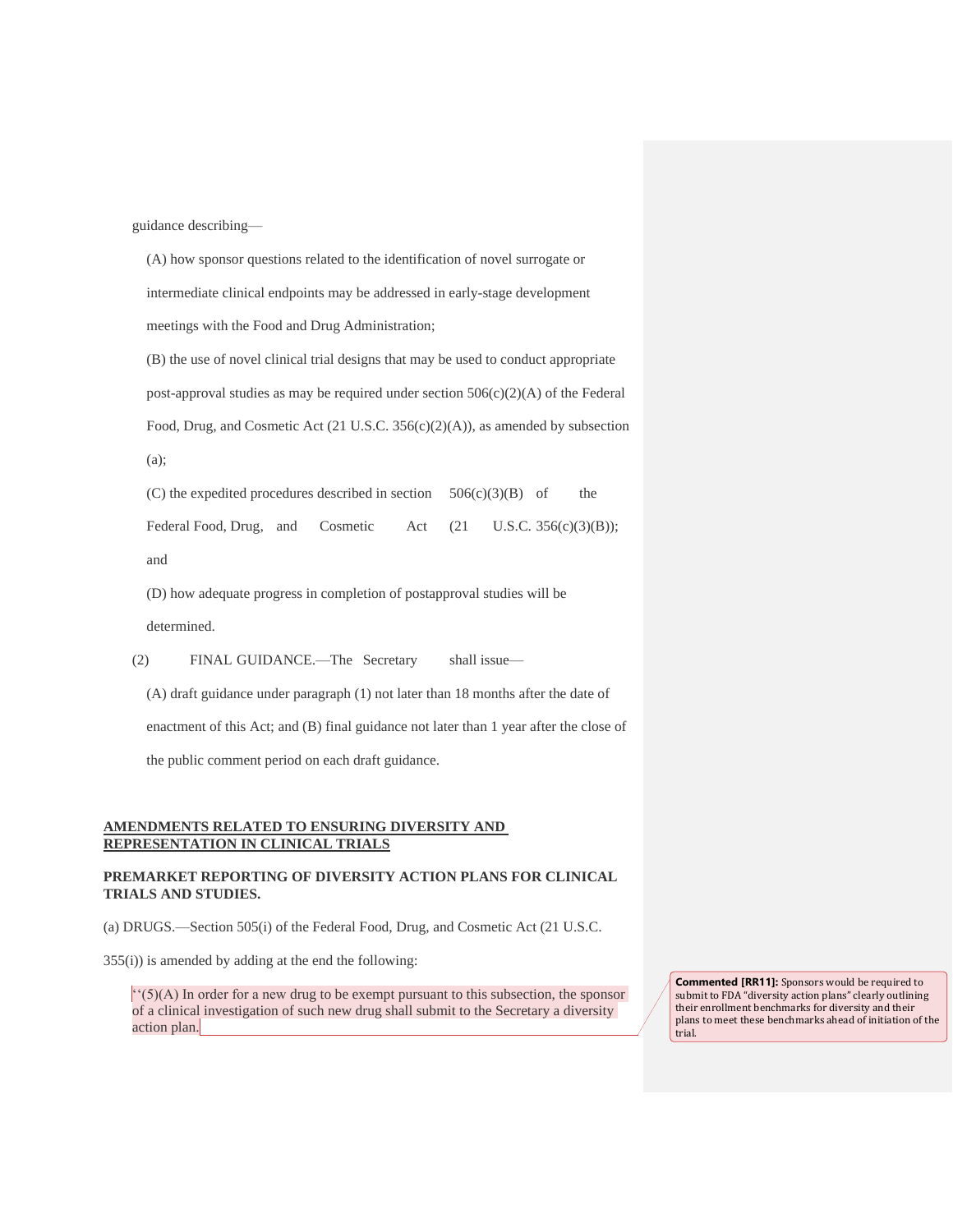guidance describing—

(A) how sponsor questions related to the identification of novel surrogate or intermediate clinical endpoints may be addressed in early-stage development meetings with the Food and Drug Administration;

(B) the use of novel clinical trial designs that may be used to conduct appropriate post-approval studies as may be required under section  $506(c)(2)(A)$  of the Federal Food, Drug, and Cosmetic Act (21 U.S.C. 356(c)(2)(A)), as amended by subsection (a);

(C) the expedited procedures described in section  $506(c)(3)(B)$  of the Federal Food, Drug, and Cosmetic Act (21 U.S.C. 356(c)(3)(B));

and

(D) how adequate progress in completion of postapproval studies will be

determined.

(2) FINAL GUIDANCE.—The Secretary shall issue—

(A) draft guidance under paragraph (1) not later than 18 months after the date of

enactment of this Act; and (B) final guidance not later than 1 year after the close of

the public comment period on each draft guidance.

#### **AMENDMENTS RELATED TO ENSURING DIVERSITY AND REPRESENTATION IN CLINICAL TRIALS**

#### **PREMARKET REPORTING OF DIVERSITY ACTION PLANS FOR CLINICAL TRIALS AND STUDIES.**

(a) DRUGS.—Section 505(i) of the Federal Food, Drug, and Cosmetic Act (21 U.S.C.

355(i)) is amended by adding at the end the following:

''(5)(A) In order for a new drug to be exempt pursuant to this subsection, the sponsor of a clinical investigation of such new drug shall submit to the Secretary a diversity action plan.

**Commented [RR11]:** Sponsors would be required to submit to FDA "diversity action plans" clearly outlining their enrollment benchmarks for diversity and their plans to meet these benchmarks ahead of initiation of the trial.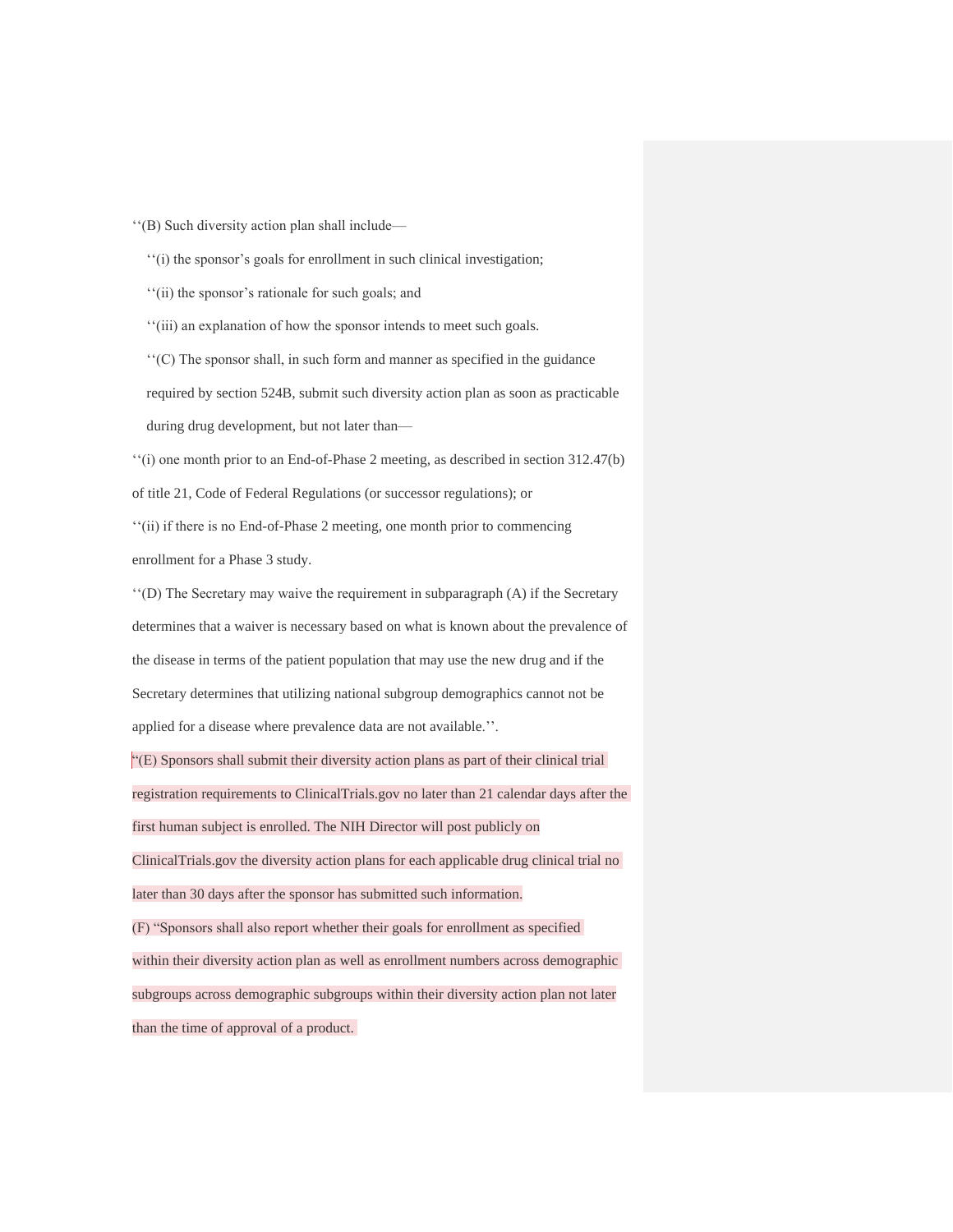''(B) Such diversity action plan shall include—

''(i) the sponsor's goals for enrollment in such clinical investigation;

''(ii) the sponsor's rationale for such goals; and

''(iii) an explanation of how the sponsor intends to meet such goals.

''(C) The sponsor shall, in such form and manner as specified in the guidance required by section 524B, submit such diversity action plan as soon as practicable during drug development, but not later than—

''(i) one month prior to an End-of-Phase 2 meeting, as described in section 312.47(b) of title 21, Code of Federal Regulations (or successor regulations); or ''(ii) if there is no End-of-Phase 2 meeting, one month prior to commencing enrollment for a Phase 3 study.

''(D) The Secretary may waive the requirement in subparagraph (A) if the Secretary determines that a waiver is necessary based on what is known about the prevalence of the disease in terms of the patient population that may use the new drug and if the Secretary determines that utilizing national subgroup demographics cannot not be applied for a disease where prevalence data are not available.''.

"(E) Sponsors shall submit their diversity action plans as part of their clinical trial registration requirements to ClinicalTrials.gov no later than 21 calendar days after the first human subject is enrolled. The NIH Director will post publicly on ClinicalTrials.gov the diversity action plans for each applicable drug clinical trial no later than 30 days after the sponsor has submitted such information. (F) "Sponsors shall also report whether their goals for enrollment as specified within their diversity action plan as well as enrollment numbers across demographic subgroups across demographic subgroups within their diversity action plan not later than the time of approval of a product.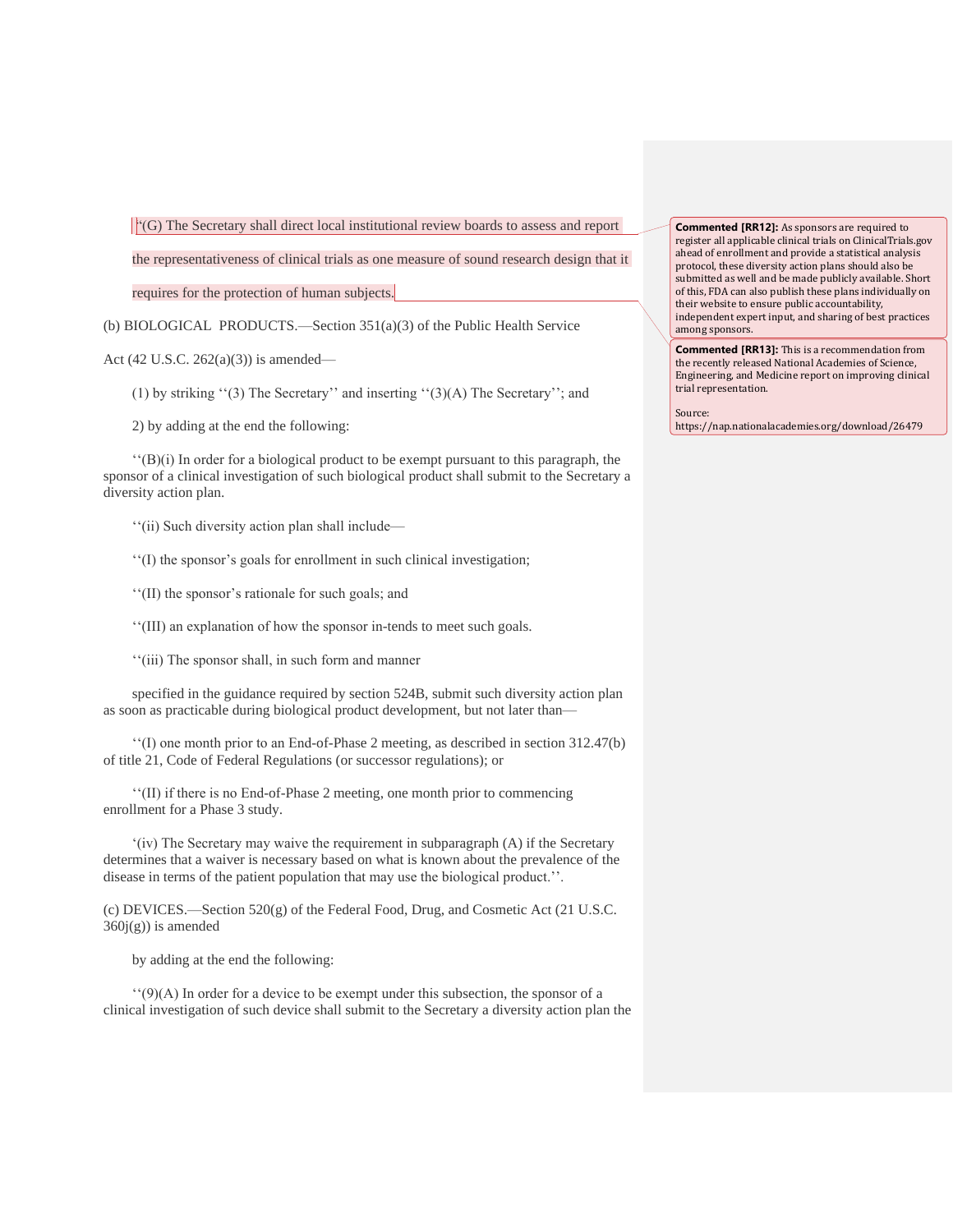$\left| \cdot \right|$  (G) The Secretary shall direct local institutional review boards to assess and report

the representativeness of clinical trials as one measure of sound research design that it

requires for the protection of human subjects.

(b) BIOLOGICAL PRODUCTS.—Section 351(a)(3) of the Public Health Service

Act (42 U.S.C. 262(a)(3)) is amended—

(1) by striking ''(3) The Secretary'' and inserting ''(3)(A) The Secretary''; and

2) by adding at the end the following:

 $''(B)(i)$  In order for a biological product to be exempt pursuant to this paragraph, the sponsor of a clinical investigation of such biological product shall submit to the Secretary a diversity action plan.

''(ii) Such diversity action plan shall include—

''(I) the sponsor's goals for enrollment in such clinical investigation;

''(II) the sponsor's rationale for such goals; and

''(III) an explanation of how the sponsor in-tends to meet such goals.

''(iii) The sponsor shall, in such form and manner

specified in the guidance required by section 524B, submit such diversity action plan as soon as practicable during biological product development, but not later than—

''(I) one month prior to an End-of-Phase 2 meeting, as described in section 312.47(b) of title 21, Code of Federal Regulations (or successor regulations); or

''(II) if there is no End-of-Phase 2 meeting, one month prior to commencing enrollment for a Phase 3 study.

'(iv) The Secretary may waive the requirement in subparagraph (A) if the Secretary determines that a waiver is necessary based on what is known about the prevalence of the disease in terms of the patient population that may use the biological product.''.

(c) DEVICES.—Section  $520(g)$  of the Federal Food, Drug, and Cosmetic Act (21 U.S.C.  $360j(g)$ ) is amended

by adding at the end the following:

''(9)(A) In order for a device to be exempt under this subsection, the sponsor of a clinical investigation of such device shall submit to the Secretary a diversity action plan the

**Commented [RR12]:** As sponsors are required to register all applicable clinical trials on ClinicalTrials.gov ahead of enrollment and provide a statistical analysis protocol, these diversity action plans should also be submitted as well and be made publicly available. Short of this, FDA can also publish these plans individually on their website to ensure public accountability, independent expert input, and sharing of best practices among sponsors.

**Commented [RR13]:** This is a recommendation from the recently released National Academies of Science, Engineering, and Medicine report on improving clinical trial representation.

Source: https://nap.nationalacademies.org/download/26479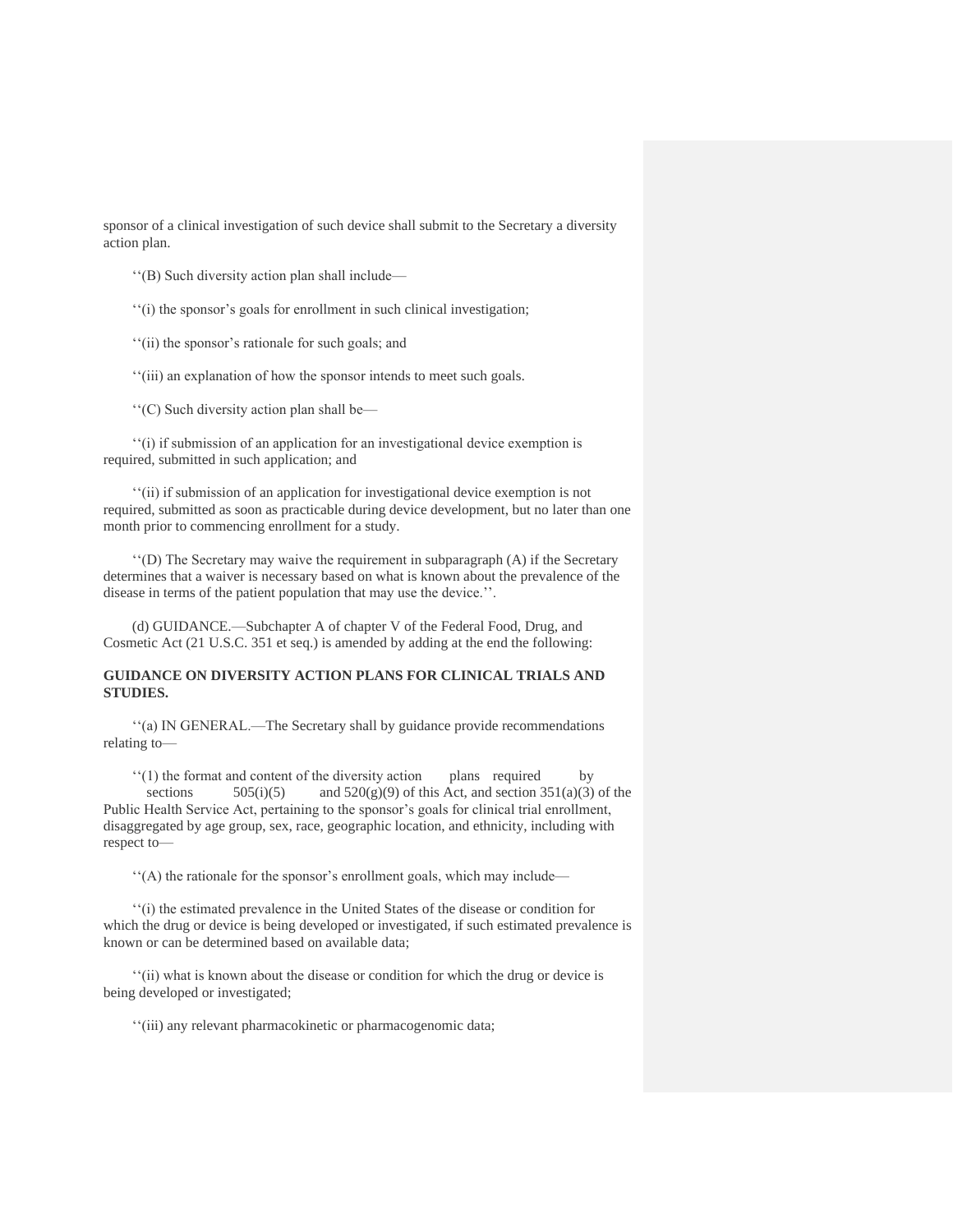sponsor of a clinical investigation of such device shall submit to the Secretary a diversity action plan.

''(B) Such diversity action plan shall include—

''(i) the sponsor's goals for enrollment in such clinical investigation;

''(ii) the sponsor's rationale for such goals; and

''(iii) an explanation of how the sponsor intends to meet such goals.

''(C) Such diversity action plan shall be—

''(i) if submission of an application for an investigational device exemption is required, submitted in such application; and

''(ii) if submission of an application for investigational device exemption is not required, submitted as soon as practicable during device development, but no later than one month prior to commencing enrollment for a study.

''(D) The Secretary may waive the requirement in subparagraph (A) if the Secretary determines that a waiver is necessary based on what is known about the prevalence of the disease in terms of the patient population that may use the device.''.

(d) GUIDANCE.—Subchapter A of chapter V of the Federal Food, Drug, and Cosmetic Act (21 U.S.C. 351 et seq.) is amended by adding at the end the following:

#### **GUIDANCE ON DIVERSITY ACTION PLANS FOR CLINICAL TRIALS AND STUDIES.**

''(a) IN GENERAL.—The Secretary shall by guidance provide recommendations relating to—

''(1) the format and content of the diversity action plans required by

sections  $505(i)(5)$  and  $520(g)(9)$  of this Act, and section 351(a)(3) of the Public Health Service Act, pertaining to the sponsor's goals for clinical trial enrollment, disaggregated by age group, sex, race, geographic location, and ethnicity, including with respect to—

''(A) the rationale for the sponsor's enrollment goals, which may include—

''(i) the estimated prevalence in the United States of the disease or condition for which the drug or device is being developed or investigated, if such estimated prevalence is known or can be determined based on available data;

''(ii) what is known about the disease or condition for which the drug or device is being developed or investigated;

''(iii) any relevant pharmacokinetic or pharmacogenomic data;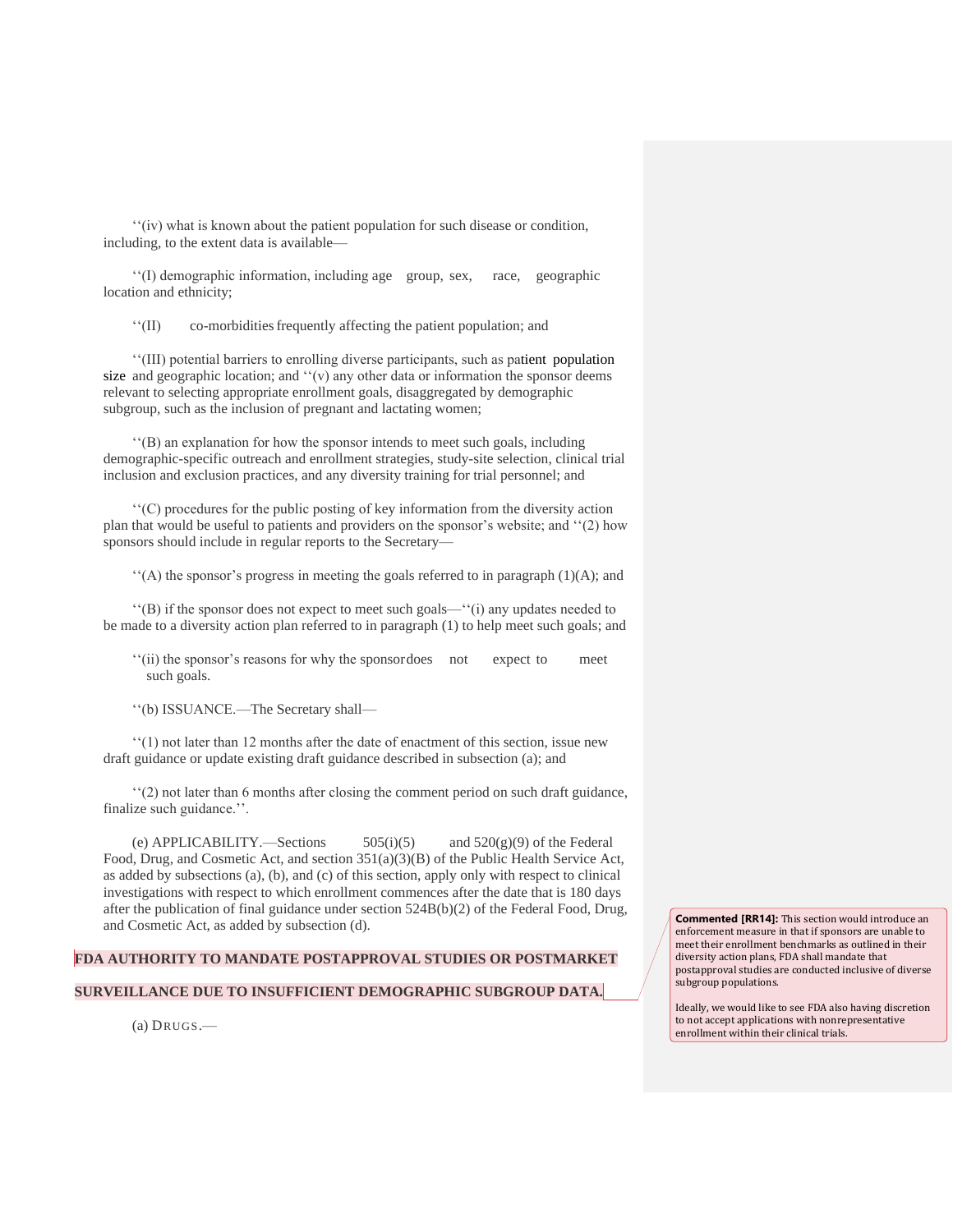''(iv) what is known about the patient population for such disease or condition, including, to the extent data is available—

''(I) demographic information, including age group, sex, race, geographic location and ethnicity;

''(II) co-morbiditiesfrequently affecting the patient population; and

''(III) potential barriers to enrolling diverse participants, such as patient population size and geographic location; and  $''(v)$  any other data or information the sponsor deems relevant to selecting appropriate enrollment goals, disaggregated by demographic subgroup, such as the inclusion of pregnant and lactating women;

''(B) an explanation for how the sponsor intends to meet such goals, including demographic-specific outreach and enrollment strategies, study-site selection, clinical trial inclusion and exclusion practices, and any diversity training for trial personnel; and

''(C) procedures for the public posting of key information from the diversity action plan that would be useful to patients and providers on the sponsor's website; and ''(2) how sponsors should include in regular reports to the Secretary—

 $''(A)$  the sponsor's progress in meeting the goals referred to in paragraph (1)(A); and

''(B) if the sponsor does not expect to meet such goals—''(i) any updates needed to be made to a diversity action plan referred to in paragraph (1) to help meet such goals; and

''(ii) the sponsor's reasons for why the sponsordoes not expect to meet such goals.

''(b) ISSUANCE.—The Secretary shall—

''(1) not later than 12 months after the date of enactment of this section, issue new draft guidance or update existing draft guidance described in subsection (a); and

''(2) not later than 6 months after closing the comment period on such draft guidance, finalize such guidance.''.

(e) APPLICABILITY.—Sections  $505(i)(5)$  and  $520(g)(9)$  of the Federal Food, Drug, and Cosmetic Act, and section 351(a)(3)(B) of the Public Health Service Act, as added by subsections (a), (b), and (c) of this section, apply only with respect to clinical investigations with respect to which enrollment commences after the date that is 180 days after the publication of final guidance under section 524B(b)(2) of the Federal Food, Drug, and Cosmetic Act, as added by subsection (d).

## **FDA AUTHORITY TO MANDATE POSTAPPROVAL STUDIES OR POSTMARKET**

#### **SURVEILLANCE DUE TO INSUFFICIENT DEMOGRAPHIC SUBGROUP DATA.**

(a) DRUGS.—

**Commented [RR14]:** This section would introduce an enforcement measure in that if sponsors are unable to meet their enrollment benchmarks as outlined in their diversity action plans, FDA shall mandate that postapproval studies are conducted inclusive of diverse subgroup populations.

Ideally, we would like to see FDA also having discretion to not accept applications with nonrepresentative enrollment within their clinical trials.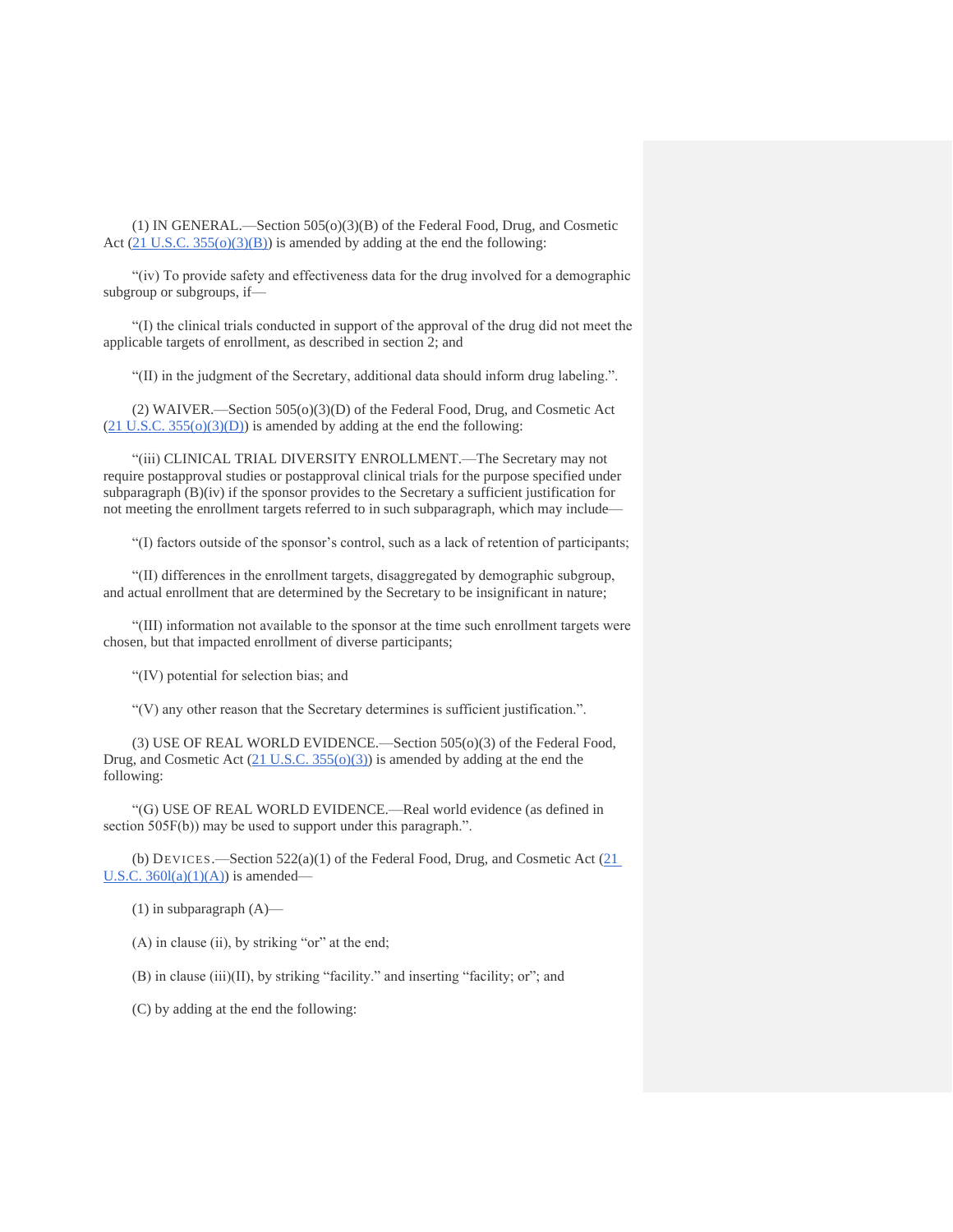(1) IN GENERAL.—Section 505(o)(3)(B) of the Federal Food, Drug, and Cosmetic Act  $(21 \text{ U.S.C. } 355(0)(3)(\text{B}))$  is amended by adding at the end the following:

"(iv) To provide safety and effectiveness data for the drug involved for a demographic subgroup or subgroups, if—

"(I) the clinical trials conducted in support of the approval of the drug did not meet the applicable targets of enrollment, as described in section 2; and

"(II) in the judgment of the Secretary, additional data should inform drug labeling.".

(2) WAIVER.—Section 505(o)(3)(D) of the Federal Food, Drug, and Cosmetic Act  $(21$  U.S.C.  $355(o)(3)(D)$ ) is amended by adding at the end the following:

"(iii) CLINICAL TRIAL DIVERSITY ENROLLMENT.—The Secretary may not require postapproval studies or postapproval clinical trials for the purpose specified under subparagraph  $(B)(iv)$  if the sponsor provides to the Secretary a sufficient justification for not meeting the enrollment targets referred to in such subparagraph, which may include—

"(I) factors outside of the sponsor's control, such as a lack of retention of participants;

"(II) differences in the enrollment targets, disaggregated by demographic subgroup, and actual enrollment that are determined by the Secretary to be insignificant in nature;

"(III) information not available to the sponsor at the time such enrollment targets were chosen, but that impacted enrollment of diverse participants;

"(IV) potential for selection bias; and

"(V) any other reason that the Secretary determines is sufficient justification.".

(3) USE OF REAL WORLD EVIDENCE.—Section 505(o)(3) of the Federal Food, Drug, and Cosmetic Act  $(21 \text{ U.S.C. } 355(0)(3))$  is amended by adding at the end the following:

"(G) USE OF REAL WORLD EVIDENCE.—Real world evidence (as defined in section 505F(b)) may be used to support under this paragraph.".

(b) DEVICES.—Section  $522(a)(1)$  of the Federal Food, Drug, and Cosmetic Act  $(21)$ U.S.C.  $360l(a)(1)(A)$  is amended—

 $(1)$  in subparagraph  $(A)$ —

(A) in clause (ii), by striking "or" at the end;

(B) in clause (iii)(II), by striking "facility." and inserting "facility; or"; and

(C) by adding at the end the following: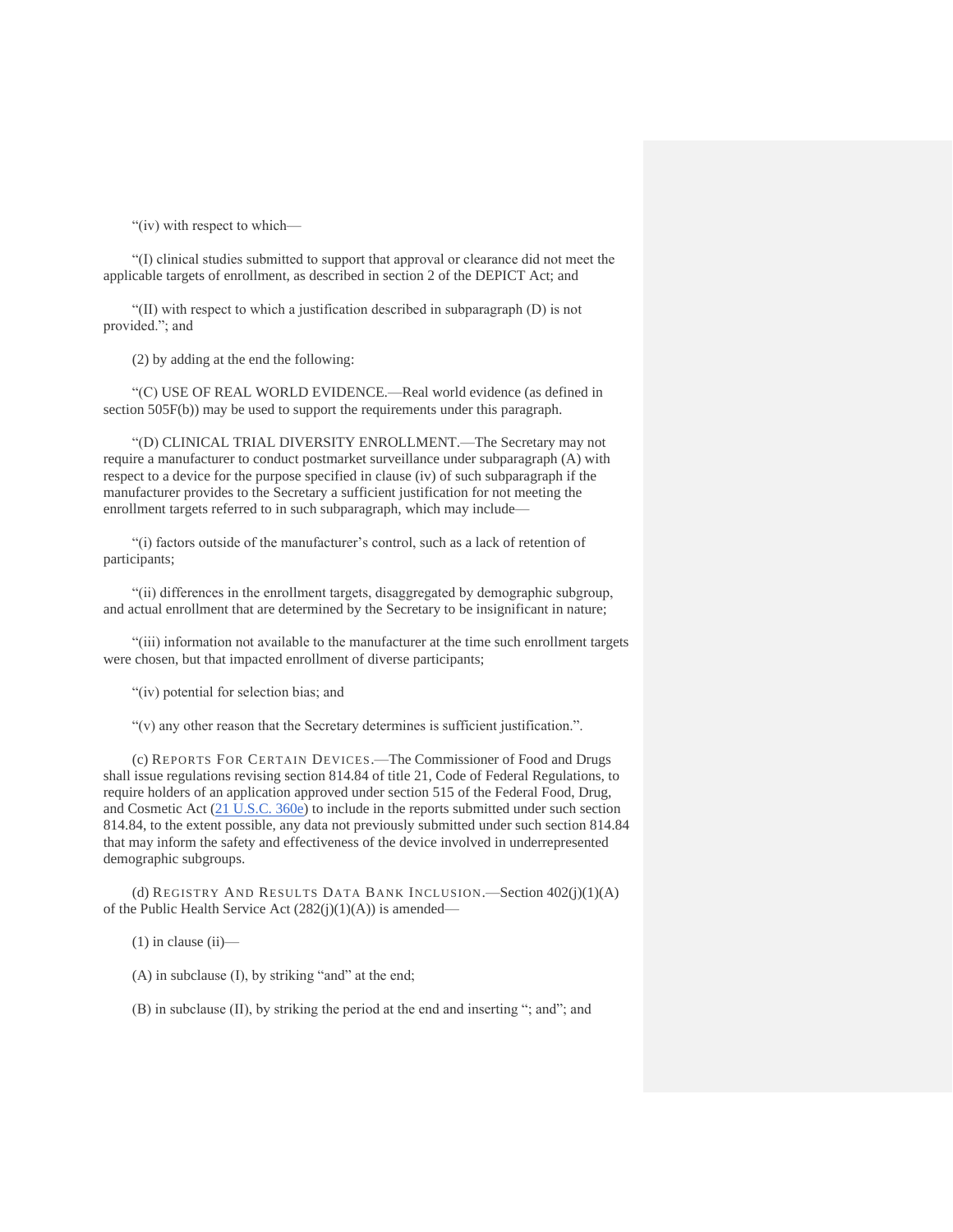"(iv) with respect to which—

"(I) clinical studies submitted to support that approval or clearance did not meet the applicable targets of enrollment, as described in section 2 of the DEPICT Act; and

"(II) with respect to which a justification described in subparagraph (D) is not provided."; and

(2) by adding at the end the following:

"(C) USE OF REAL WORLD EVIDENCE.—Real world evidence (as defined in section 505F(b)) may be used to support the requirements under this paragraph.

"(D) CLINICAL TRIAL DIVERSITY ENROLLMENT.—The Secretary may not require a manufacturer to conduct postmarket surveillance under subparagraph (A) with respect to a device for the purpose specified in clause (iv) of such subparagraph if the manufacturer provides to the Secretary a sufficient justification for not meeting the enrollment targets referred to in such subparagraph, which may include—

"(i) factors outside of the manufacturer's control, such as a lack of retention of participants;

"(ii) differences in the enrollment targets, disaggregated by demographic subgroup, and actual enrollment that are determined by the Secretary to be insignificant in nature;

"(iii) information not available to the manufacturer at the time such enrollment targets were chosen, but that impacted enrollment of diverse participants;

"(iv) potential for selection bias; and

"(v) any other reason that the Secretary determines is sufficient justification.".

(c) REPORTS FOR CERTAIN DEVICES.—The Commissioner of Food and Drugs shall issue regulations revising section 814.84 of title 21, Code of Federal Regulations, to require holders of an application approved under section 515 of the Federal Food, Drug, and Cosmetic Act [\(21 U.S.C. 360e\)](http://uscode.house.gov/quicksearch/get.plx?title=21§ion=360e) to include in the reports submitted under such section 814.84, to the extent possible, any data not previously submitted under such section 814.84 that may inform the safety and effectiveness of the device involved in underrepresented demographic subgroups.

(d) REGISTRY AND RESULTS DATA BANK INCLUSION.—Section 402(j)(1)(A) of the Public Health Service Act (282(j)(1)(A)) is amended—

 $(1)$  in clause  $(ii)$ —

(A) in subclause (I), by striking "and" at the end;

(B) in subclause (II), by striking the period at the end and inserting "; and"; and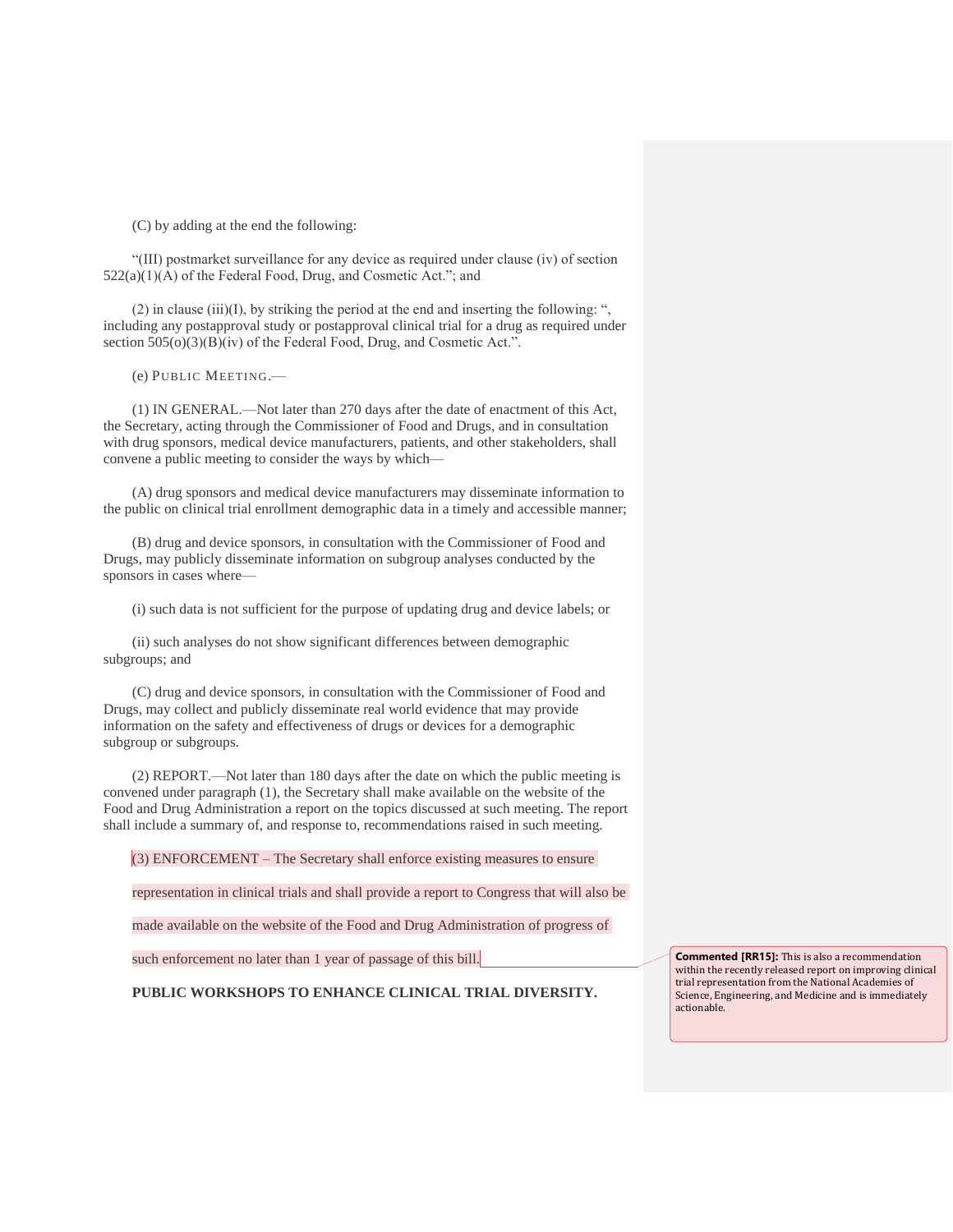(C) by adding at the end the following:

"(III) postmarket surveillance for any device as required under clause (iv) of section 522(a)(1)(A) of the Federal Food, Drug, and Cosmetic Act."; and

(2) in clause (iii)(I), by striking the period at the end and inserting the following: ", including any postapproval study or postapproval clinical trial for a drug as required under section 505(o)(3)(B)(iv) of the Federal Food, Drug, and Cosmetic Act.".

(e) PUBLIC MEETING.—

(1) IN GENERAL.—Not later than 270 days after the date of enactment of this Act, the Secretary, acting through the Commissioner of Food and Drugs, and in consultation with drug sponsors, medical device manufacturers, patients, and other stakeholders, shall convene a public meeting to consider the ways by which—

(A) drug sponsors and medical device manufacturers may disseminate information to the public on clinical trial enrollment demographic data in a timely and accessible manner;

(B) drug and device sponsors, in consultation with the Commissioner of Food and Drugs, may publicly disseminate information on subgroup analyses conducted by the sponsors in cases where—

(i) such data is not sufficient for the purpose of updating drug and device labels; or

(ii) such analyses do not show significant differences between demographic subgroups; and

(C) drug and device sponsors, in consultation with the Commissioner of Food and Drugs, may collect and publicly disseminate real world evidence that may provide information on the safety and effectiveness of drugs or devices for a demographic subgroup or subgroups.

(2) REPORT.—Not later than 180 days after the date on which the public meeting is convened under paragraph (1), the Secretary shall make available on the website of the Food and Drug Administration a report on the topics discussed at such meeting. The report shall include a summary of, and response to, recommendations raised in such meeting.

(3) ENFORCEMENT – The Secretary shall enforce existing measures to ensure

representation in clinical trials and shall provide a report to Congress that will also be

made available on the website of the Food and Drug Administration of progress of

such enforcement no later than 1 year of passage of this bill.

**PUBLIC WORKSHOPS TO ENHANCE CLINICAL TRIAL DIVERSITY.**

**Commented [RR15]:** This is also a recommendation within the recently released report on improving clinical trial representation from the National Academies of Science, Engineering, and Medicine and is immediately actionable.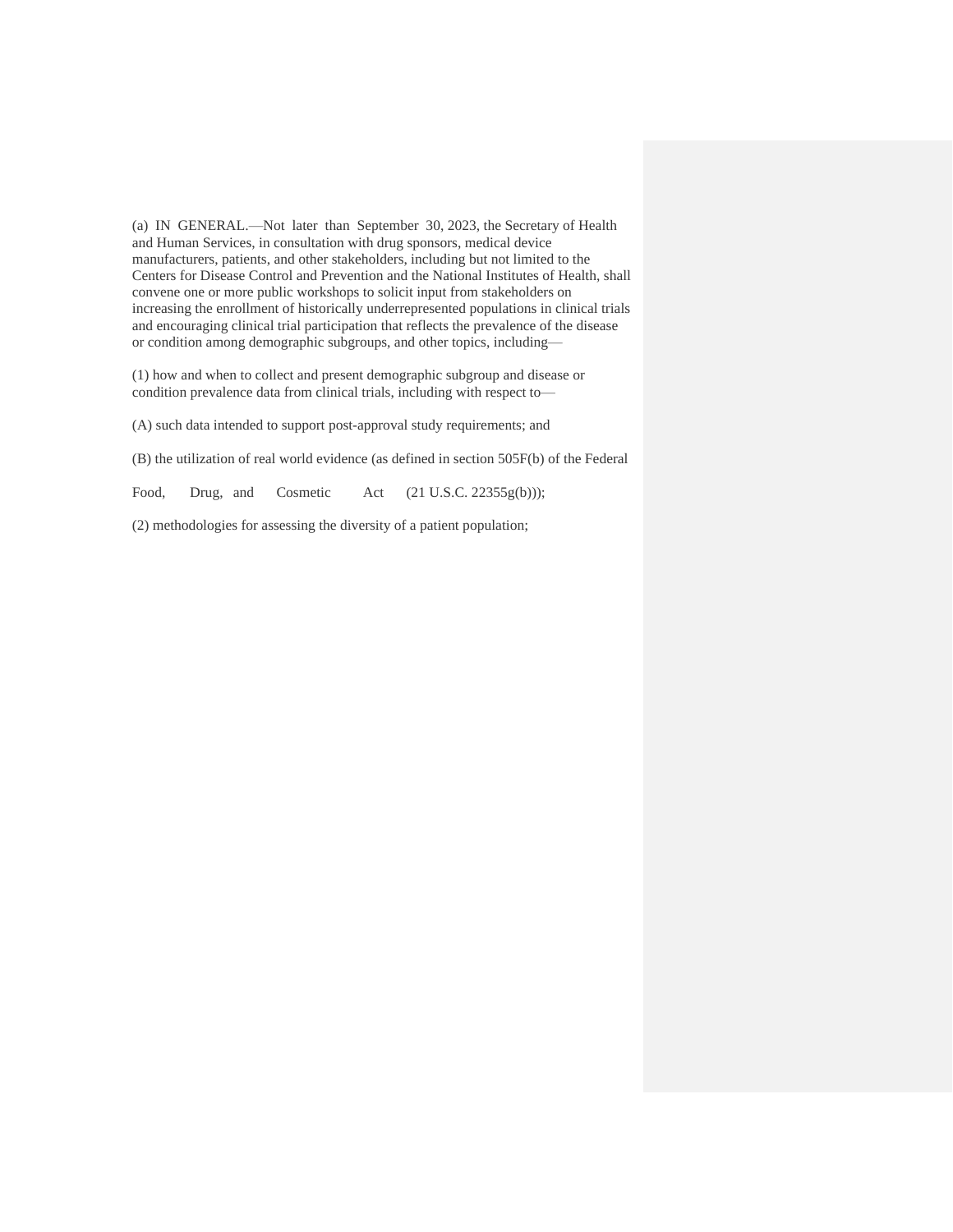(a) IN GENERAL.—Not later than September 30, 2023, the Secretary of Health and Human Services, in consultation with drug sponsors, medical device manufacturers, patients, and other stakeholders, including but not limited to the Centers for Disease Control and Prevention and the National Institutes of Health, shall convene one or more public workshops to solicit input from stakeholders on increasing the enrollment of historically underrepresented populations in clinical trials and encouraging clinical trial participation that reflects the prevalence of the disease or condition among demographic subgroups, and other topics, including—

(1) how and when to collect and present demographic subgroup and disease or condition prevalence data from clinical trials, including with respect to—

(A) such data intended to support post-approval study requirements; and

(B) the utilization of real world evidence (as defined in section 505F(b) of the Federal

Food, Drug, and Cosmetic Act (21 U.S.C. 22355g(b)));

(2) methodologies for assessing the diversity of a patient population;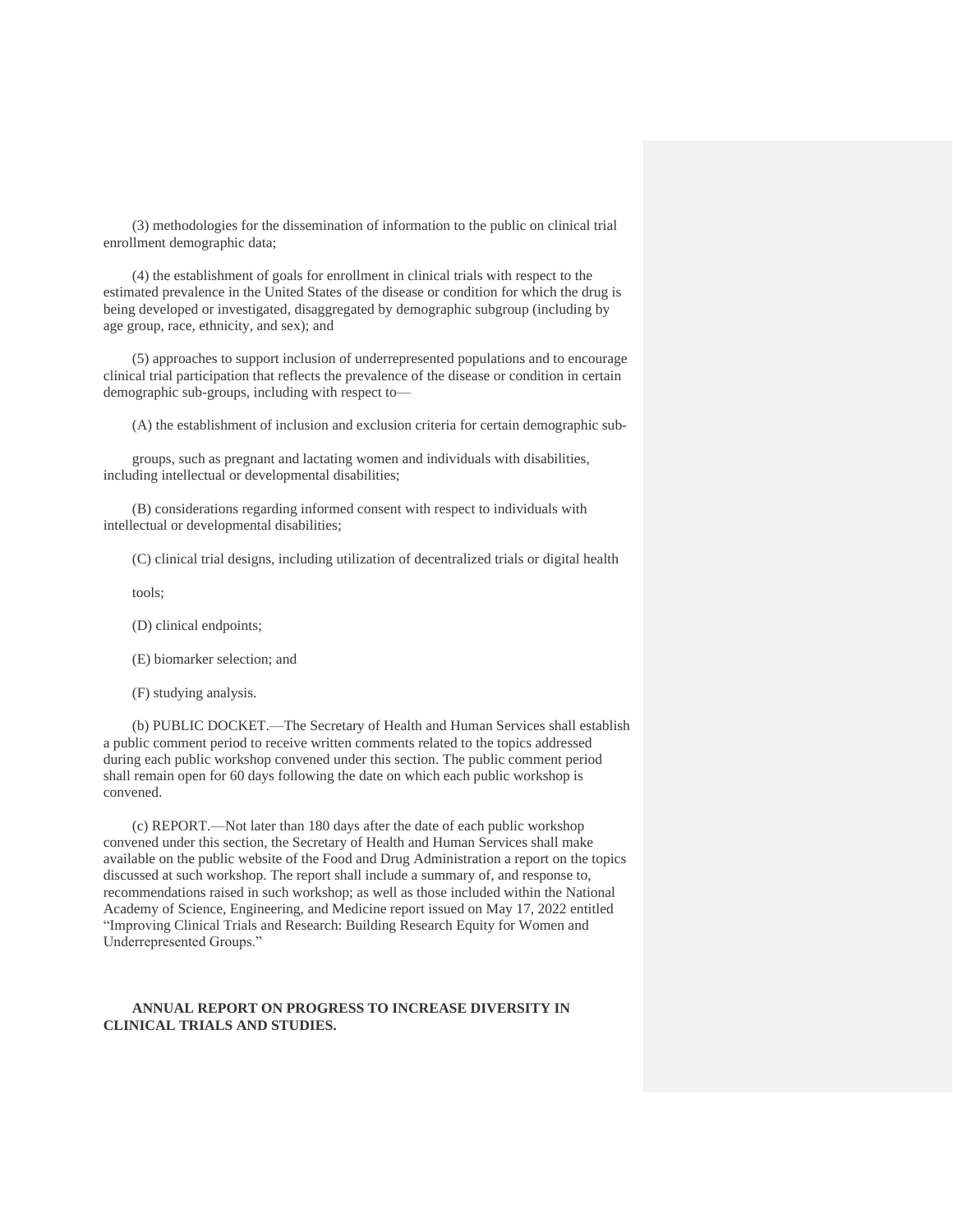(3) methodologies for the dissemination of information to the public on clinical trial enrollment demographic data;

(4) the establishment of goals for enrollment in clinical trials with respect to the estimated prevalence in the United States of the disease or condition for which the drug is being developed or investigated, disaggregated by demographic subgroup (including by age group, race, ethnicity, and sex); and

(5) approaches to support inclusion of underrepresented populations and to encourage clinical trial participation that reflects the prevalence of the disease or condition in certain demographic sub-groups, including with respect to—

(A) the establishment of inclusion and exclusion criteria for certain demographic sub-

groups, such as pregnant and lactating women and individuals with disabilities, including intellectual or developmental disabilities;

(B) considerations regarding informed consent with respect to individuals with intellectual or developmental disabilities;

(C) clinical trial designs, including utilization of decentralized trials or digital health

tools;

- (D) clinical endpoints;
- (E) biomarker selection; and
- (F) studying analysis.

(b) PUBLIC DOCKET.—The Secretary of Health and Human Services shall establish a public comment period to receive written comments related to the topics addressed during each public workshop convened under this section. The public comment period shall remain open for 60 days following the date on which each public workshop is convened.

(c) REPORT.—Not later than 180 days after the date of each public workshop convened under this section, the Secretary of Health and Human Services shall make available on the public website of the Food and Drug Administration a report on the topics discussed at such workshop. The report shall include a summary of, and response to, recommendations raised in such workshop; as well as those included within the National Academy of Science, Engineering, and Medicine report issued on May 17, 2022 entitled "Improving Clinical Trials and Research: Building Research Equity for Women and Underrepresented Groups."

### **ANNUAL REPORT ON PROGRESS TO INCREASE DIVERSITY IN CLINICAL TRIALS AND STUDIES.**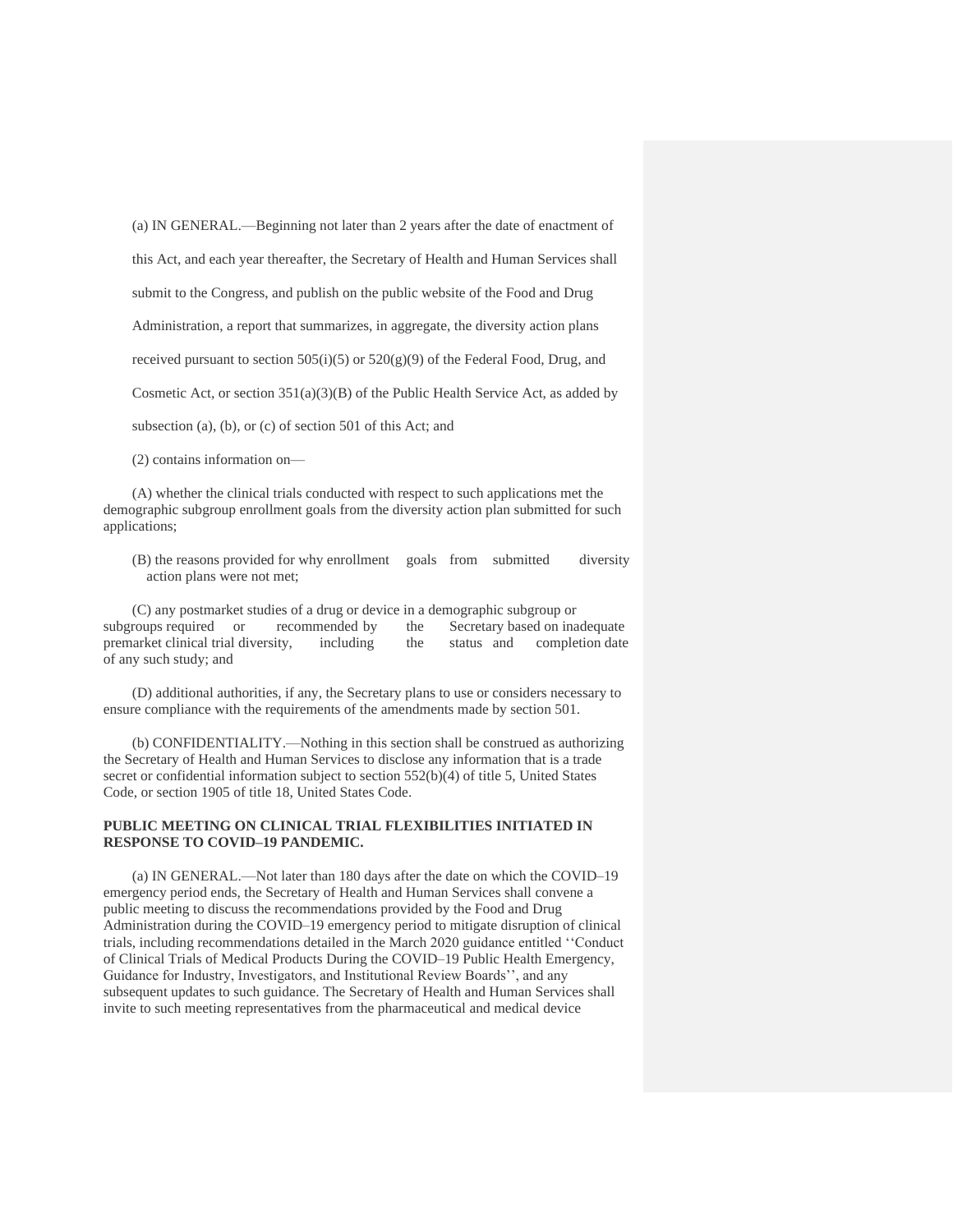(a) IN GENERAL.—Beginning not later than 2 years after the date of enactment of this Act, and each year thereafter, the Secretary of Health and Human Services shall submit to the Congress, and publish on the public website of the Food and Drug Administration, a report that summarizes, in aggregate, the diversity action plans received pursuant to section  $505(i)(5)$  or  $520(g)(9)$  of the Federal Food, Drug, and Cosmetic Act, or section 351(a)(3)(B) of the Public Health Service Act, as added by subsection (a), (b), or (c) of section 501 of this Act; and

(2) contains information on—

(A) whether the clinical trials conducted with respect to such applications met the demographic subgroup enrollment goals from the diversity action plan submitted for such applications;

(B) the reasons provided for why enrollment goals from submitted diversity action plans were not met;

(C) any postmarket studies of a drug or device in a demographic subgroup or subgroups required or recommended by the Secretary based on inadequate premarket clinical trial diversity, including the status and completion date of any such study; and

(D) additional authorities, if any, the Secretary plans to use or considers necessary to ensure compliance with the requirements of the amendments made by section 501.

(b) CONFIDENTIALITY.—Nothing in this section shall be construed as authorizing the Secretary of Health and Human Services to disclose any information that is a trade secret or confidential information subject to section 552(b)(4) of title 5, United States Code, or section 1905 of title 18, United States Code.

#### **PUBLIC MEETING ON CLINICAL TRIAL FLEXIBILITIES INITIATED IN RESPONSE TO COVID–19 PANDEMIC.**

(a) IN GENERAL.—Not later than 180 days after the date on which the COVID–19 emergency period ends, the Secretary of Health and Human Services shall convene a public meeting to discuss the recommendations provided by the Food and Drug Administration during the COVID–19 emergency period to mitigate disruption of clinical trials, including recommendations detailed in the March 2020 guidance entitled ''Conduct of Clinical Trials of Medical Products During the COVID–19 Public Health Emergency, Guidance for Industry, Investigators, and Institutional Review Boards'', and any subsequent updates to such guidance. The Secretary of Health and Human Services shall invite to such meeting representatives from the pharmaceutical and medical device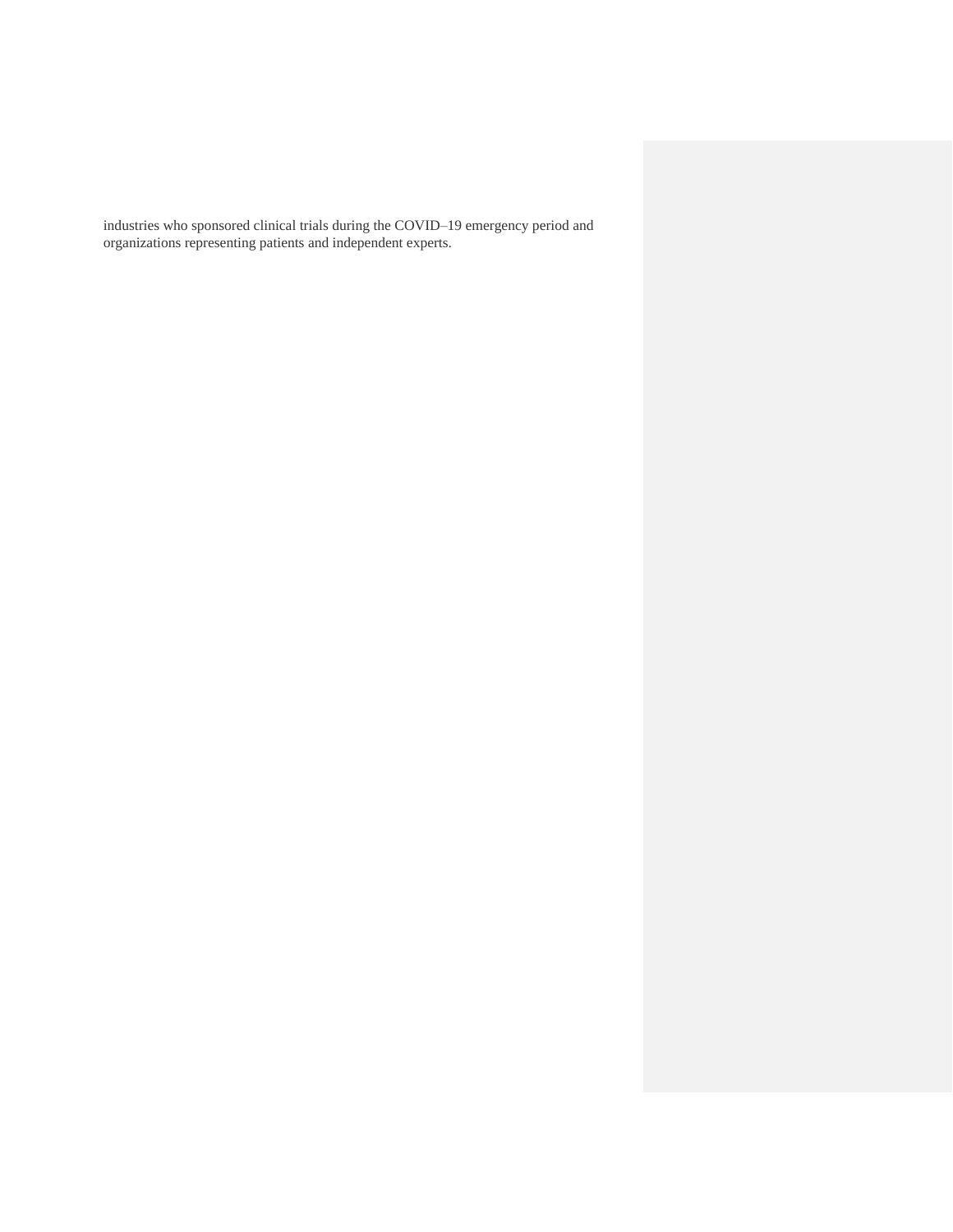industries who sponsored clinical trials during the COVID–19 emergency period and organizations representing patients and independent experts.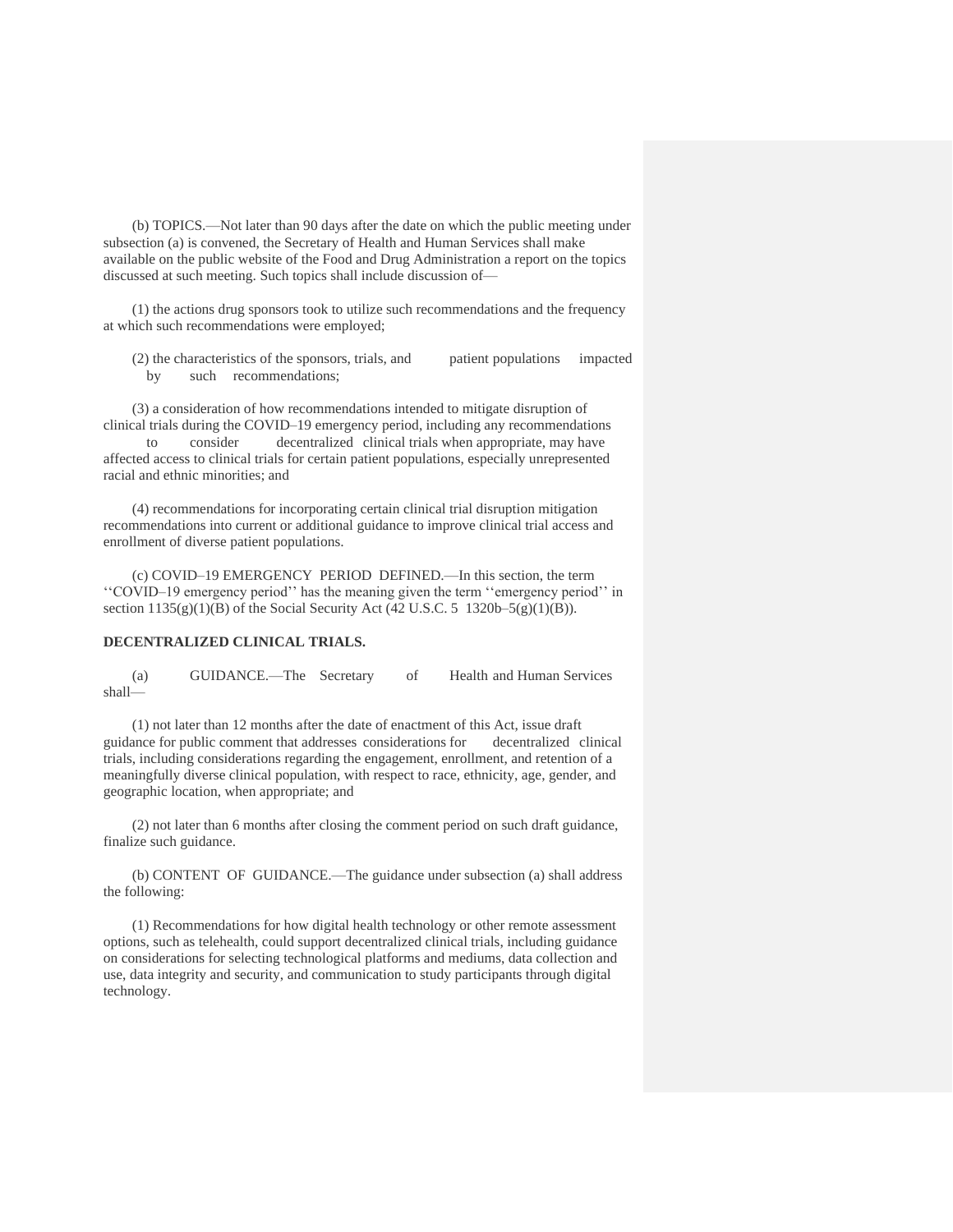(b) TOPICS.—Not later than 90 days after the date on which the public meeting under subsection (a) is convened, the Secretary of Health and Human Services shall make available on the public website of the Food and Drug Administration a report on the topics discussed at such meeting. Such topics shall include discussion of—

(1) the actions drug sponsors took to utilize such recommendations and the frequency at which such recommendations were employed;

(2) the characteristics of the sponsors, trials, and patient populations impacted by such recommendations;

(3) a consideration of how recommendations intended to mitigate disruption of clinical trials during the COVID–19 emergency period, including any recommendations to consider decentralized clinical trials when appropriate, may have affected access to clinical trials for certain patient populations, especially unrepresented racial and ethnic minorities; and

(4) recommendations for incorporating certain clinical trial disruption mitigation recommendations into current or additional guidance to improve clinical trial access and enrollment of diverse patient populations.

(c) COVID–19 EMERGENCY PERIOD DEFINED.—In this section, the term ''COVID–19 emergency period'' has the meaning given the term ''emergency period'' in section  $1135(g)(1)(B)$  of the Social Security Act (42 U.S.C. 5 1320b–5(g)(1)(B)).

### **DECENTRALIZED CLINICAL TRIALS.**

(a) GUIDANCE.—The Secretary of Health and Human Services shall—

(1) not later than 12 months after the date of enactment of this Act, issue draft guidance for public comment that addresses considerations for decentralized clinical trials, including considerations regarding the engagement, enrollment, and retention of a meaningfully diverse clinical population, with respect to race, ethnicity, age, gender, and geographic location, when appropriate; and

(2) not later than 6 months after closing the comment period on such draft guidance, finalize such guidance.

(b) CONTENT OF GUIDANCE.—The guidance under subsection (a) shall address the following:

(1) Recommendations for how digital health technology or other remote assessment options, such as telehealth, could support decentralized clinical trials, including guidance on considerations for selecting technological platforms and mediums, data collection and use, data integrity and security, and communication to study participants through digital technology.